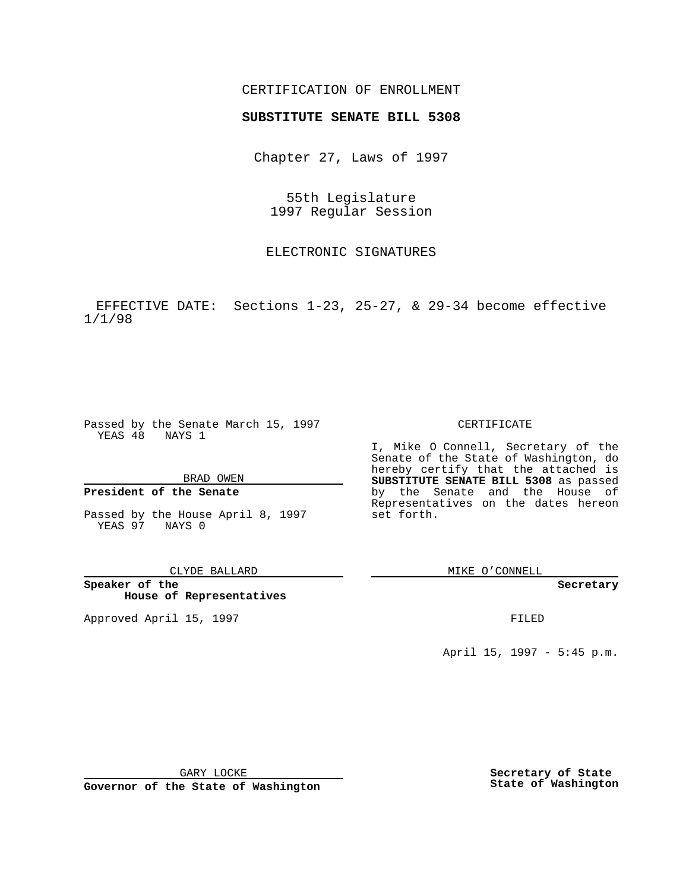## CERTIFICATION OF ENROLLMENT

# **SUBSTITUTE SENATE BILL 5308**

Chapter 27, Laws of 1997

55th Legislature 1997 Regular Session

ELECTRONIC SIGNATURES

EFFECTIVE DATE: Sections 1-23, 25-27, & 29-34 become effective 1/1/98

Passed by the Senate March 15, 1997 YEAS 48 NAYS 1

BRAD OWEN

### **President of the Senate**

Passed by the House April 8, 1997 YEAS 97 NAYS 0

CLYDE BALLARD

**Speaker of the House of Representatives**

Approved April 15, 1997 **FILED** 

### CERTIFICATE

I, Mike O Connell, Secretary of the Senate of the State of Washington, do hereby certify that the attached is **SUBSTITUTE SENATE BILL 5308** as passed by the Senate and the House of Representatives on the dates hereon set forth.

MIKE O'CONNELL

#### **Secretary**

April 15, 1997 - 5:45 p.m.

GARY LOCKE

**Governor of the State of Washington**

**Secretary of State State of Washington**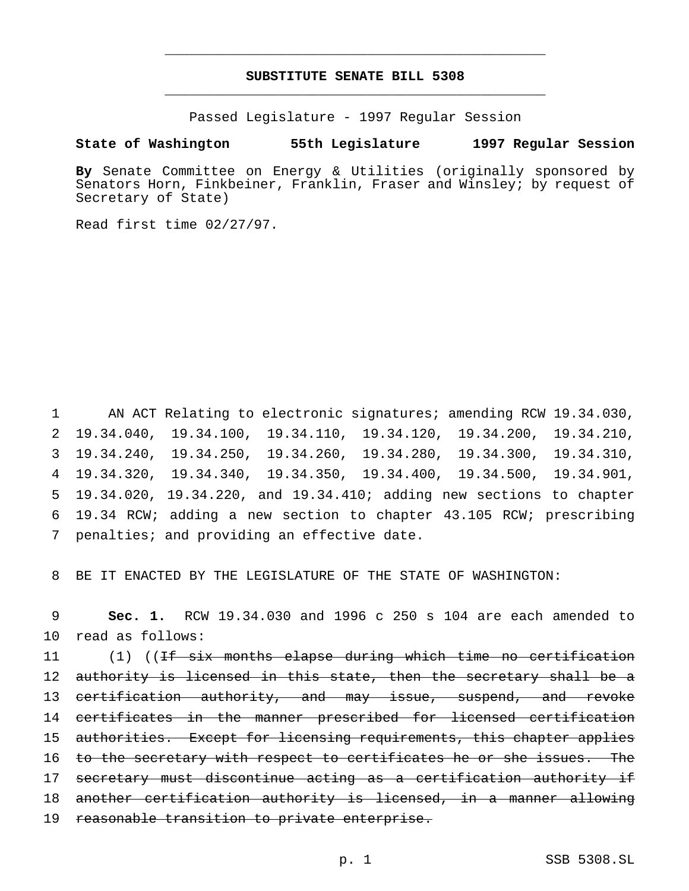# **SUBSTITUTE SENATE BILL 5308** \_\_\_\_\_\_\_\_\_\_\_\_\_\_\_\_\_\_\_\_\_\_\_\_\_\_\_\_\_\_\_\_\_\_\_\_\_\_\_\_\_\_\_\_\_\_\_

\_\_\_\_\_\_\_\_\_\_\_\_\_\_\_\_\_\_\_\_\_\_\_\_\_\_\_\_\_\_\_\_\_\_\_\_\_\_\_\_\_\_\_\_\_\_\_

Passed Legislature - 1997 Regular Session

### **State of Washington 55th Legislature 1997 Regular Session**

**By** Senate Committee on Energy & Utilities (originally sponsored by Senators Horn, Finkbeiner, Franklin, Fraser and Winsley; by request of Secretary of State)

Read first time 02/27/97.

 AN ACT Relating to electronic signatures; amending RCW 19.34.030, 19.34.040, 19.34.100, 19.34.110, 19.34.120, 19.34.200, 19.34.210, 19.34.240, 19.34.250, 19.34.260, 19.34.280, 19.34.300, 19.34.310, 19.34.320, 19.34.340, 19.34.350, 19.34.400, 19.34.500, 19.34.901, 19.34.020, 19.34.220, and 19.34.410; adding new sections to chapter 19.34 RCW; adding a new section to chapter 43.105 RCW; prescribing penalties; and providing an effective date.

8 BE IT ENACTED BY THE LEGISLATURE OF THE STATE OF WASHINGTON:

9 **Sec. 1.** RCW 19.34.030 and 1996 c 250 s 104 are each amended to 10 read as follows:

11 (1) ((<del>If six months elapse during which time no certification</del> 12 authority is licensed in this state, then the secretary shall be a 13 certification authority, and may issue, suspend, and revoke 14 certificates in the manner prescribed for licensed certification 15 authorities. Except for licensing requirements, this chapter applies 16 to the secretary with respect to certificates he or she issues. The 17 secretary must discontinue acting as a certification authority if 18 another certification authority is licensed, in a manner allowing 19 reasonable transition to private enterprise.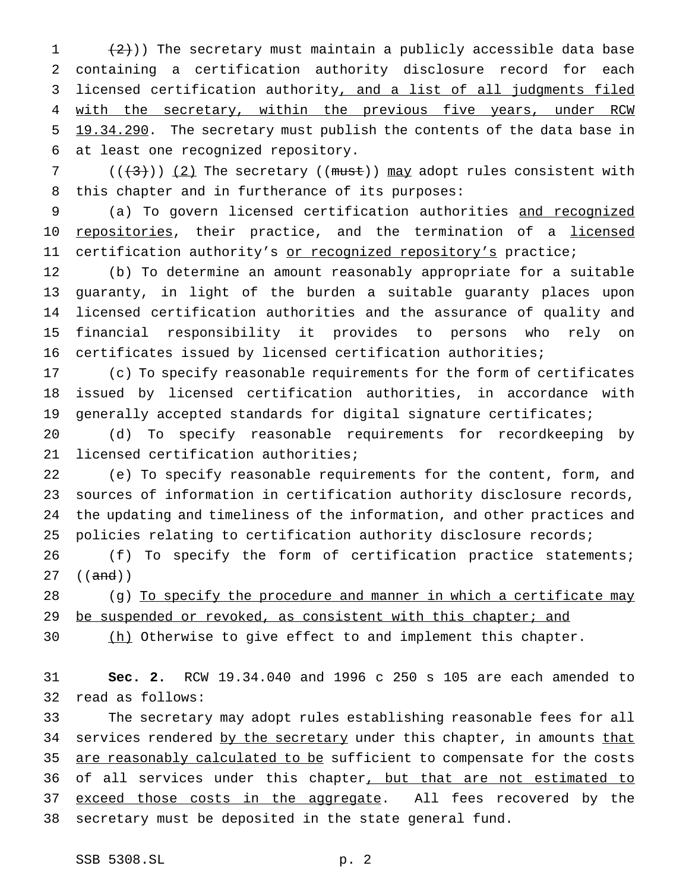$(2)$ )) The secretary must maintain a publicly accessible data base containing a certification authority disclosure record for each licensed certification authority, and a list of all judgments filed 4 with the secretary, within the previous five years, under RCW 5 19.34.290. The secretary must publish the contents of the data base in at least one recognized repository.

7 ( $(\frac{1}{3})$ ) (2) The secretary ((must)) may adopt rules consistent with this chapter and in furtherance of its purposes:

 (a) To govern licensed certification authorities and recognized 10 repositories, their practice, and the termination of a licensed 11 certification authority's or recognized repository's practice;

 (b) To determine an amount reasonably appropriate for a suitable guaranty, in light of the burden a suitable guaranty places upon licensed certification authorities and the assurance of quality and financial responsibility it provides to persons who rely on certificates issued by licensed certification authorities;

 (c) To specify reasonable requirements for the form of certificates issued by licensed certification authorities, in accordance with generally accepted standards for digital signature certificates;

 (d) To specify reasonable requirements for recordkeeping by licensed certification authorities;

 (e) To specify reasonable requirements for the content, form, and sources of information in certification authority disclosure records, the updating and timeliness of the information, and other practices and policies relating to certification authority disclosure records;

 (f) To specify the form of certification practice statements; ((and))

28 (g) To specify the procedure and manner in which a certificate may 29 be suspended or revoked, as consistent with this chapter; and

30 (h) Otherwise to give effect to and implement this chapter.

 **Sec. 2.** RCW 19.34.040 and 1996 c 250 s 105 are each amended to read as follows:

 The secretary may adopt rules establishing reasonable fees for all 34 services rendered by the secretary under this chapter, in amounts that 35 are reasonably calculated to be sufficient to compensate for the costs 36 of all services under this chapter, but that are not estimated to 37 exceed those costs in the aggregate. All fees recovered by the secretary must be deposited in the state general fund.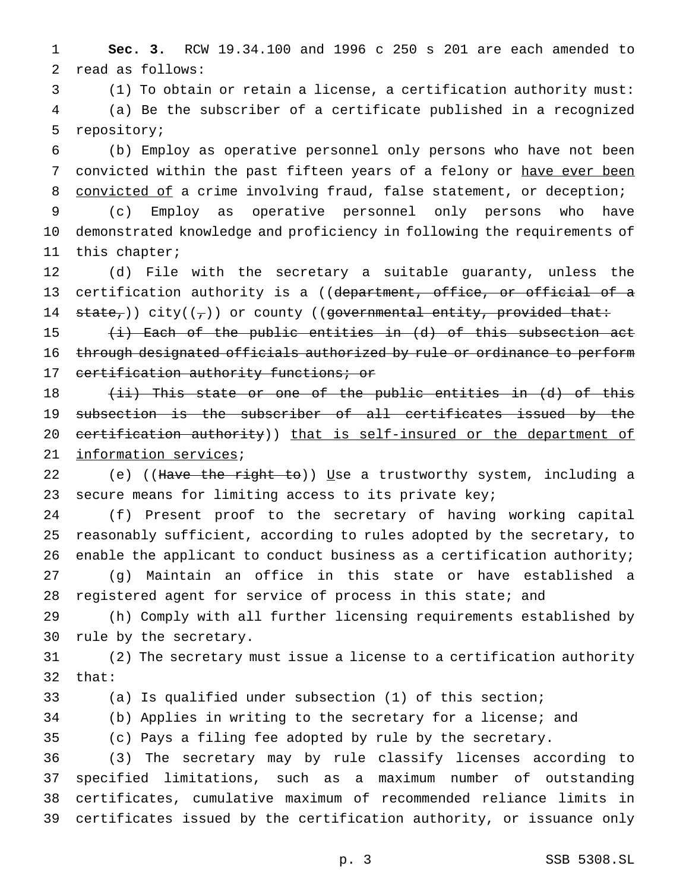**Sec. 3.** RCW 19.34.100 and 1996 c 250 s 201 are each amended to read as follows:

 (1) To obtain or retain a license, a certification authority must: (a) Be the subscriber of a certificate published in a recognized repository;

 (b) Employ as operative personnel only persons who have not been 7 convicted within the past fifteen years of a felony or have ever been 8 convicted of a crime involving fraud, false statement, or deception; (c) Employ as operative personnel only persons who have

 demonstrated knowledge and proficiency in following the requirements of this chapter;

 (d) File with the secretary a suitable guaranty, unless the 13 certification authority is a ((department, office, or official of a 14 state,)) city( $(\tau)$ ) or county ((governmental entity, provided that:

15 (i) Each of the public entities in (d) of this subsection act 16 through designated officials authorized by rule or ordinance to perform 17 certification authority functions; or

18 (ii) This state or one of the public entities in (d) of this subsection is the subscriber of all certificates issued by the 20 certification authority)) that is self-insured or the department of information services;

22 (e) ((Have the right to)) Use a trustworthy system, including a 23 secure means for limiting access to its private key;

 (f) Present proof to the secretary of having working capital reasonably sufficient, according to rules adopted by the secretary, to 26 enable the applicant to conduct business as a certification authority; (g) Maintain an office in this state or have established a

28 registered agent for service of process in this state; and (h) Comply with all further licensing requirements established by

rule by the secretary.

 (2) The secretary must issue a license to a certification authority that:

(a) Is qualified under subsection (1) of this section;

(b) Applies in writing to the secretary for a license; and

(c) Pays a filing fee adopted by rule by the secretary.

 (3) The secretary may by rule classify licenses according to specified limitations, such as a maximum number of outstanding certificates, cumulative maximum of recommended reliance limits in certificates issued by the certification authority, or issuance only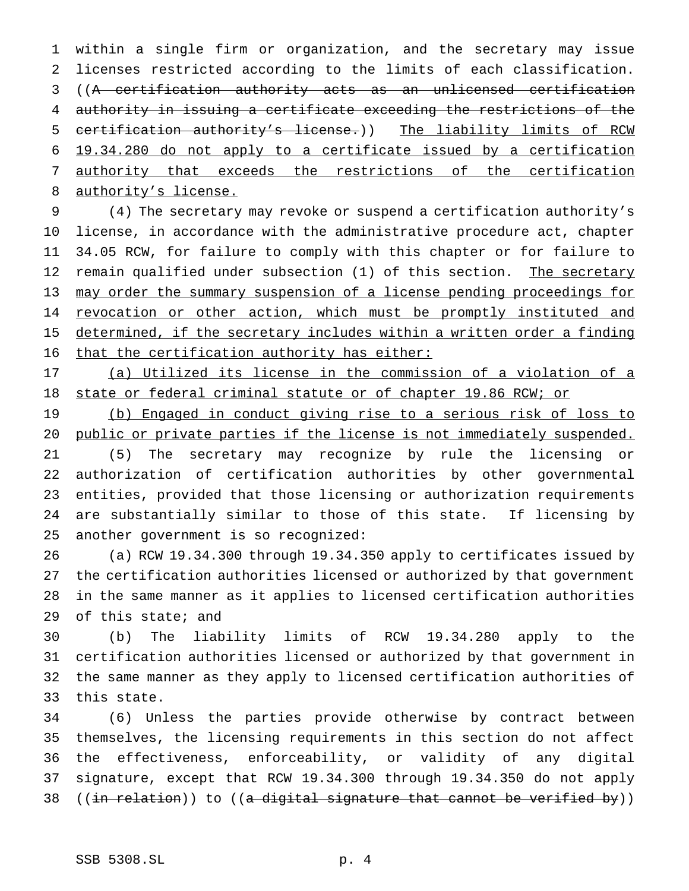within a single firm or organization, and the secretary may issue licenses restricted according to the limits of each classification. ((A certification authority acts as an unlicensed certification authority in issuing a certificate exceeding the restrictions of the certification authority's license.)) The liability limits of RCW 19.34.280 do not apply to a certificate issued by a certification authority that exceeds the restrictions of the certification 8 authority's license.

 (4) The secretary may revoke or suspend a certification authority's license, in accordance with the administrative procedure act, chapter 34.05 RCW, for failure to comply with this chapter or for failure to 12 remain qualified under subsection (1) of this section. The secretary 13 may order the summary suspension of a license pending proceedings for 14 revocation or other action, which must be promptly instituted and 15 determined, if the secretary includes within a written order a finding that the certification authority has either:

 (a) Utilized its license in the commission of a violation of a 18 state or federal criminal statute or of chapter 19.86 RCW; or

 (b) Engaged in conduct giving rise to a serious risk of loss to public or private parties if the license is not immediately suspended.

 (5) The secretary may recognize by rule the licensing or authorization of certification authorities by other governmental entities, provided that those licensing or authorization requirements are substantially similar to those of this state. If licensing by another government is so recognized:

 (a) RCW 19.34.300 through 19.34.350 apply to certificates issued by the certification authorities licensed or authorized by that government in the same manner as it applies to licensed certification authorities of this state; and

 (b) The liability limits of RCW 19.34.280 apply to the certification authorities licensed or authorized by that government in the same manner as they apply to licensed certification authorities of this state.

 (6) Unless the parties provide otherwise by contract between themselves, the licensing requirements in this section do not affect the effectiveness, enforceability, or validity of any digital signature, except that RCW 19.34.300 through 19.34.350 do not apply 38 (( $\{in$  relation)) to ((a digital signature that cannot be verified by))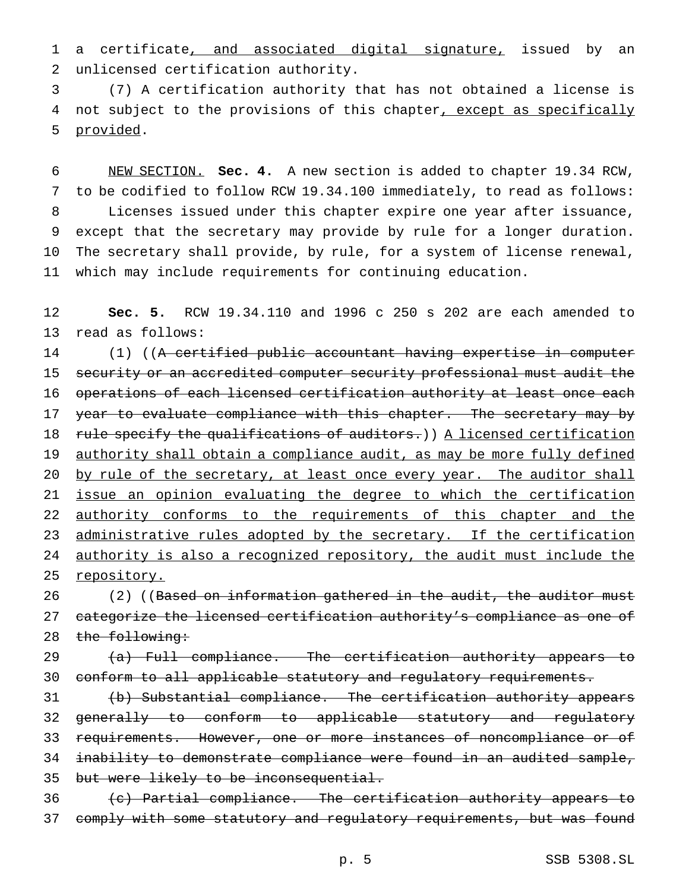1 a certificate, and associated digital signature, issued by an 2 unlicensed certification authority.

3 (7) A certification authority that has not obtained a license is 4 not subject to the provisions of this chapter, except as specifically 5 provided.

 NEW SECTION. **Sec. 4.** A new section is added to chapter 19.34 RCW, to be codified to follow RCW 19.34.100 immediately, to read as follows: Licenses issued under this chapter expire one year after issuance, except that the secretary may provide by rule for a longer duration. The secretary shall provide, by rule, for a system of license renewal, which may include requirements for continuing education.

12 **Sec. 5.** RCW 19.34.110 and 1996 c 250 s 202 are each amended to 13 read as follows:

14 (1) ((A certified public accountant having expertise in computer 15 security or an accredited computer security professional must audit the 16 operations of each licensed certification authority at least once each 17 year to evaluate compliance with this chapter. The secretary may by 18 rule specify the qualifications of auditors.)) A licensed certification 19 authority shall obtain a compliance audit, as may be more fully defined 20 by rule of the secretary, at least once every year. The auditor shall 21 issue an opinion evaluating the degree to which the certification 22 authority conforms to the requirements of this chapter and the 23 administrative rules adopted by the secretary. If the certification 24 authority is also a recognized repository, the audit must include the 25 repository.

26 (2) ((Based on information gathered in the audit, the auditor must 27 categorize the licensed certification authority's compliance as one of 28 the following:

29 (a) Full compliance. The certification authority appears to 30 conform to all applicable statutory and regulatory requirements.

31 (b) Substantial compliance. The certification authority appears 32 generally to conform to applicable statutory and regulatory 33 requirements. However, one or more instances of noncompliance or of 34 inability to demonstrate compliance were found in an audited sample, 35 but were likely to be inconsequential.

36 (c) Partial compliance. The certification authority appears to 37 comply with some statutory and regulatory requirements, but was found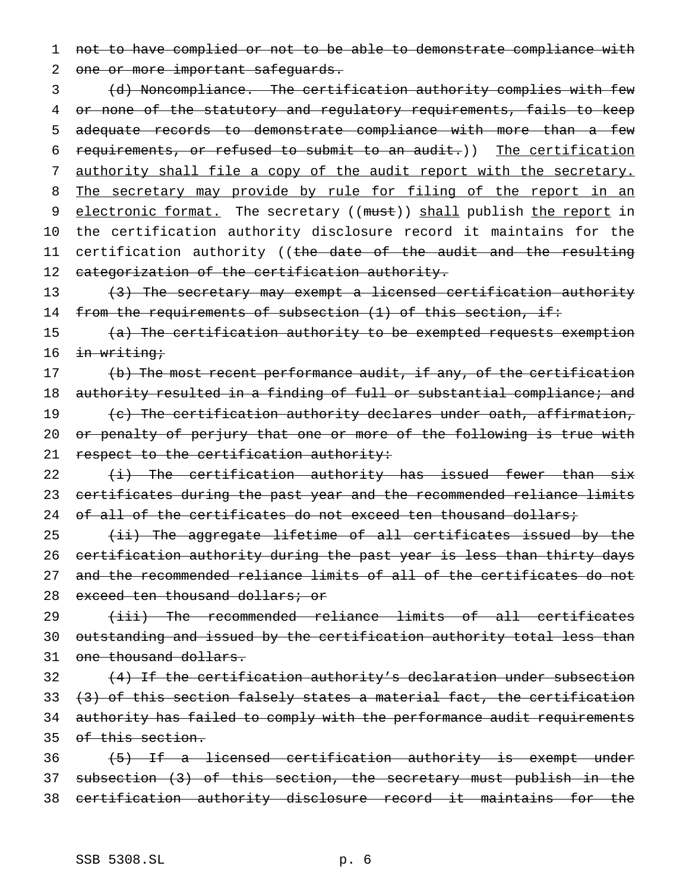1 not to have complied or not to be able to demonstrate compliance with

2 one or more important safeguards.

3 (d) Noncompliance. The certification authority complies with few 4 or none of the statutory and regulatory requirements, fails to keep 5 adequate records to demonstrate compliance with more than a few 6 requirements, or refused to submit to an audit.)) The certification 7 authority shall file a copy of the audit report with the secretary. 8 The secretary may provide by rule for filing of the report in an 9 electronic format. The secretary ((must)) shall publish the report in 10 the certification authority disclosure record it maintains for the 11 certification authority ((<del>the date of the audit and the resulting</del> 12 categorization of the certification authority.

13 (3) The secretary may exempt a licensed certification authority 14 from the requirements of subsection (1) of this section, if:

15 (a) The certification authority to be exempted requests exemption 16 <del>in writing;</del>

17 (b) The most recent performance audit, if any, of the certification 18 authority resulted in a finding of full or substantial compliance; and 19 (c) The certification authority declares under oath, affirmation, 20 or penalty of perjury that one or more of the following is true with 21 respect to the certification authority:

22  $\{i\}$  The certification authority has issued fewer than six 23 certificates during the past year and the recommended reliance limits 24 of all of the certificates do not exceed ten thousand dollars;

25  $(i)$  The aggregate lifetime of all certificates issued by the 26 certification authority during the past year is less than thirty days 27 and the recommended reliance limits of all of the certificates do not 28 exceed ten thousand dollars; or

29 (iii) The recommended reliance limits of all certificates 30 outstanding and issued by the certification authority total less than 31 one thousand dollars.

32 (4) If the certification authority's declaration under subsection 33  $(3)$  of this section falsely states a material fact, the certification 34 authority has failed to comply with the performance audit requirements 35 of this section.

36 (5) If a licensed certification authority is exempt under 37 subsection (3) of this section, the secretary must publish in the 38 certification authority disclosure record it maintains for the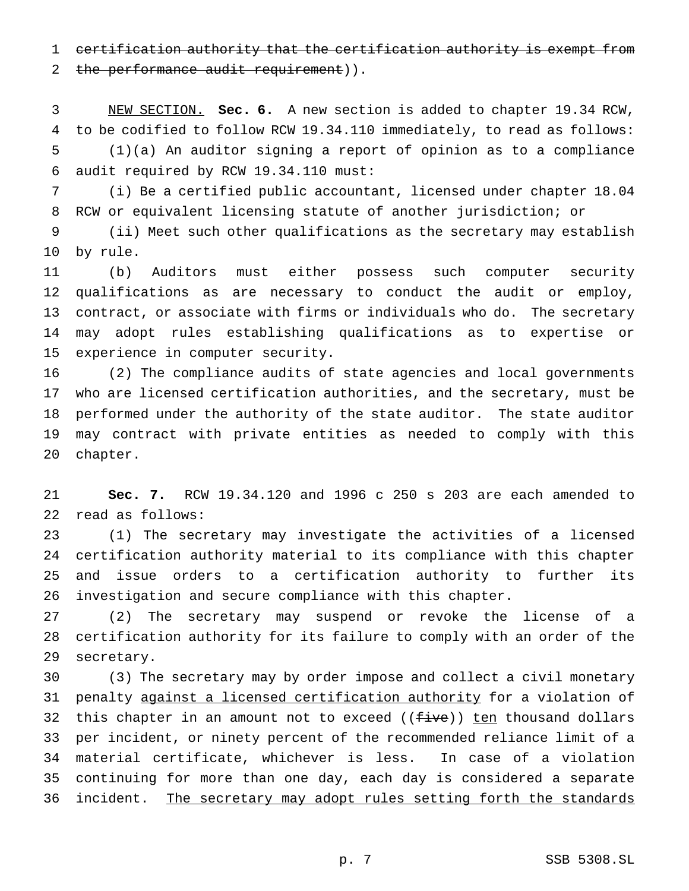certification authority that the certification authority is exempt from

2 the performance audit requirement)).

 NEW SECTION. **Sec. 6.** A new section is added to chapter 19.34 RCW, to be codified to follow RCW 19.34.110 immediately, to read as follows:

 (1)(a) An auditor signing a report of opinion as to a compliance audit required by RCW 19.34.110 must:

 (i) Be a certified public accountant, licensed under chapter 18.04 RCW or equivalent licensing statute of another jurisdiction; or

 (ii) Meet such other qualifications as the secretary may establish by rule.

 (b) Auditors must either possess such computer security qualifications as are necessary to conduct the audit or employ, contract, or associate with firms or individuals who do. The secretary may adopt rules establishing qualifications as to expertise or experience in computer security.

 (2) The compliance audits of state agencies and local governments who are licensed certification authorities, and the secretary, must be performed under the authority of the state auditor. The state auditor may contract with private entities as needed to comply with this chapter.

 **Sec. 7.** RCW 19.34.120 and 1996 c 250 s 203 are each amended to read as follows:

 (1) The secretary may investigate the activities of a licensed certification authority material to its compliance with this chapter and issue orders to a certification authority to further its investigation and secure compliance with this chapter.

 (2) The secretary may suspend or revoke the license of a certification authority for its failure to comply with an order of the secretary.

 (3) The secretary may by order impose and collect a civil monetary 31 penalty against a licensed certification authority for a violation of 32 this chapter in an amount not to exceed ((five)) ten thousand dollars per incident, or ninety percent of the recommended reliance limit of a material certificate, whichever is less. In case of a violation continuing for more than one day, each day is considered a separate 36 incident. The secretary may adopt rules setting forth the standards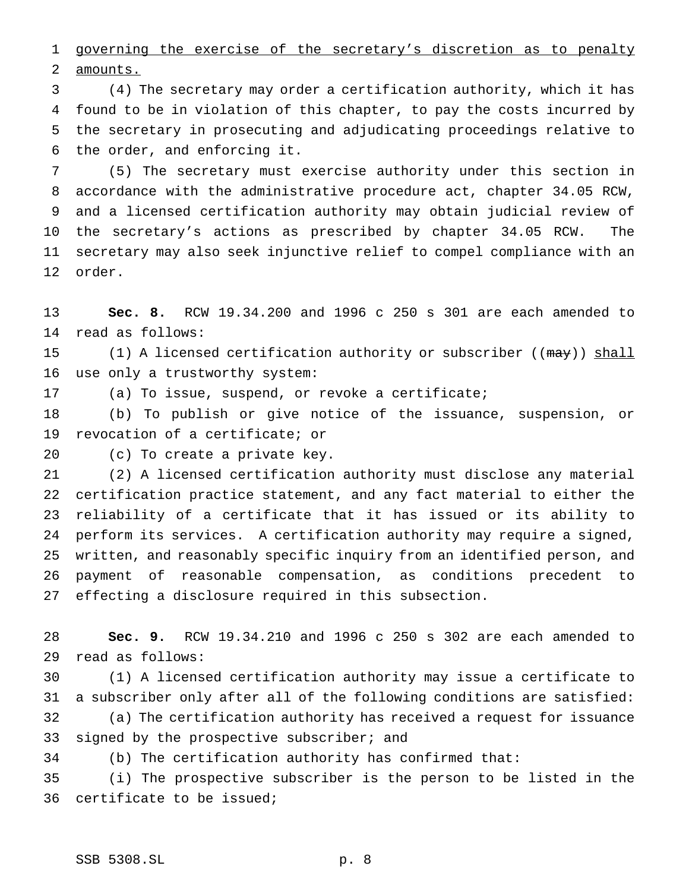1 governing the exercise of the secretary's discretion as to penalty amounts.

 (4) The secretary may order a certification authority, which it has found to be in violation of this chapter, to pay the costs incurred by the secretary in prosecuting and adjudicating proceedings relative to the order, and enforcing it.

 (5) The secretary must exercise authority under this section in accordance with the administrative procedure act, chapter 34.05 RCW, and a licensed certification authority may obtain judicial review of the secretary's actions as prescribed by chapter 34.05 RCW. The secretary may also seek injunctive relief to compel compliance with an order.

 **Sec. 8.** RCW 19.34.200 and 1996 c 250 s 301 are each amended to read as follows:

15 (1) A licensed certification authority or subscriber ((may)) shall use only a trustworthy system:

(a) To issue, suspend, or revoke a certificate;

 (b) To publish or give notice of the issuance, suspension, or revocation of a certificate; or

(c) To create a private key.

 (2) A licensed certification authority must disclose any material certification practice statement, and any fact material to either the reliability of a certificate that it has issued or its ability to perform its services. A certification authority may require a signed, written, and reasonably specific inquiry from an identified person, and payment of reasonable compensation, as conditions precedent to effecting a disclosure required in this subsection.

 **Sec. 9.** RCW 19.34.210 and 1996 c 250 s 302 are each amended to read as follows:

 (1) A licensed certification authority may issue a certificate to a subscriber only after all of the following conditions are satisfied: (a) The certification authority has received a request for issuance 33 signed by the prospective subscriber; and

(b) The certification authority has confirmed that:

 (i) The prospective subscriber is the person to be listed in the certificate to be issued;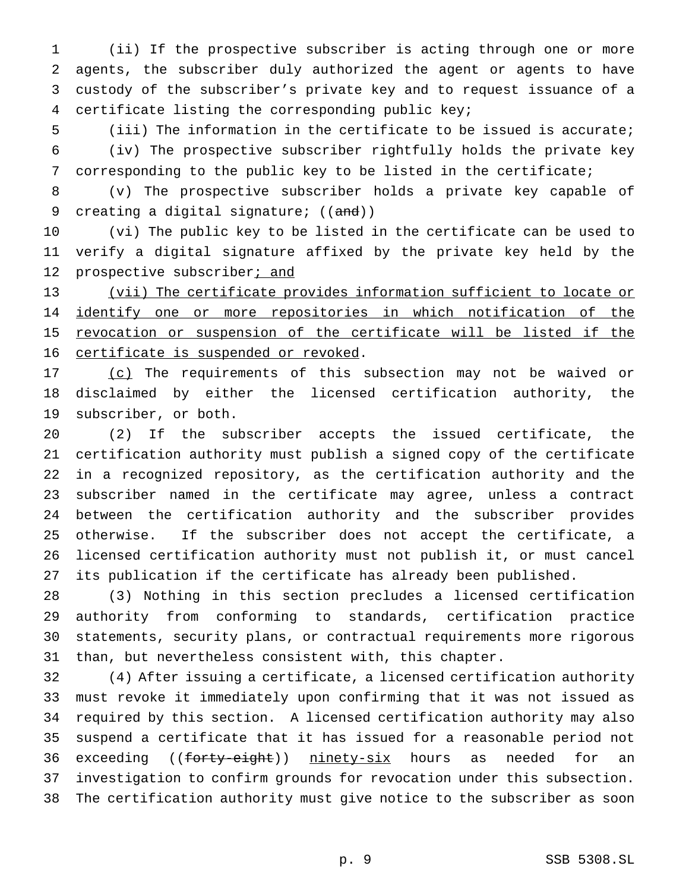(ii) If the prospective subscriber is acting through one or more agents, the subscriber duly authorized the agent or agents to have custody of the subscriber's private key and to request issuance of a certificate listing the corresponding public key;

 (iii) The information in the certificate to be issued is accurate; (iv) The prospective subscriber rightfully holds the private key corresponding to the public key to be listed in the certificate;

 (v) The prospective subscriber holds a private key capable of 9 creating a digital signature;  $((and))$ 

 (vi) The public key to be listed in the certificate can be used to verify a digital signature affixed by the private key held by the 12 prospective subscriber; and

 (vii) The certificate provides information sufficient to locate or identify one or more repositories in which notification of the 15 revocation or suspension of the certificate will be listed if the certificate is suspended or revoked.

17 (c) The requirements of this subsection may not be waived or disclaimed by either the licensed certification authority, the subscriber, or both.

 (2) If the subscriber accepts the issued certificate, the certification authority must publish a signed copy of the certificate in a recognized repository, as the certification authority and the subscriber named in the certificate may agree, unless a contract between the certification authority and the subscriber provides otherwise. If the subscriber does not accept the certificate, a licensed certification authority must not publish it, or must cancel its publication if the certificate has already been published.

 (3) Nothing in this section precludes a licensed certification authority from conforming to standards, certification practice statements, security plans, or contractual requirements more rigorous than, but nevertheless consistent with, this chapter.

 (4) After issuing a certificate, a licensed certification authority must revoke it immediately upon confirming that it was not issued as required by this section. A licensed certification authority may also suspend a certificate that it has issued for a reasonable period not 36 exceeding ((forty-eight)) ninety-six hours as needed for an investigation to confirm grounds for revocation under this subsection. The certification authority must give notice to the subscriber as soon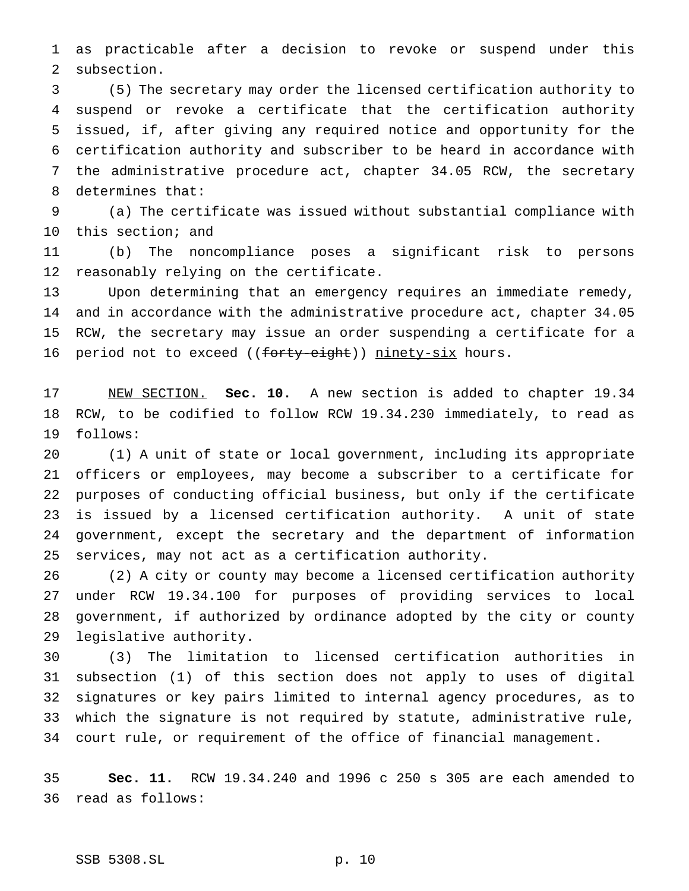as practicable after a decision to revoke or suspend under this subsection.

 (5) The secretary may order the licensed certification authority to suspend or revoke a certificate that the certification authority issued, if, after giving any required notice and opportunity for the certification authority and subscriber to be heard in accordance with the administrative procedure act, chapter 34.05 RCW, the secretary determines that:

 (a) The certificate was issued without substantial compliance with this section; and

 (b) The noncompliance poses a significant risk to persons reasonably relying on the certificate.

 Upon determining that an emergency requires an immediate remedy, and in accordance with the administrative procedure act, chapter 34.05 RCW, the secretary may issue an order suspending a certificate for a 16 period not to exceed ((forty-eight)) ninety-six hours.

 NEW SECTION. **Sec. 10.** A new section is added to chapter 19.34 RCW, to be codified to follow RCW 19.34.230 immediately, to read as follows:

 (1) A unit of state or local government, including its appropriate officers or employees, may become a subscriber to a certificate for purposes of conducting official business, but only if the certificate is issued by a licensed certification authority. A unit of state government, except the secretary and the department of information services, may not act as a certification authority.

 (2) A city or county may become a licensed certification authority under RCW 19.34.100 for purposes of providing services to local government, if authorized by ordinance adopted by the city or county legislative authority.

 (3) The limitation to licensed certification authorities in subsection (1) of this section does not apply to uses of digital signatures or key pairs limited to internal agency procedures, as to which the signature is not required by statute, administrative rule, court rule, or requirement of the office of financial management.

 **Sec. 11.** RCW 19.34.240 and 1996 c 250 s 305 are each amended to read as follows: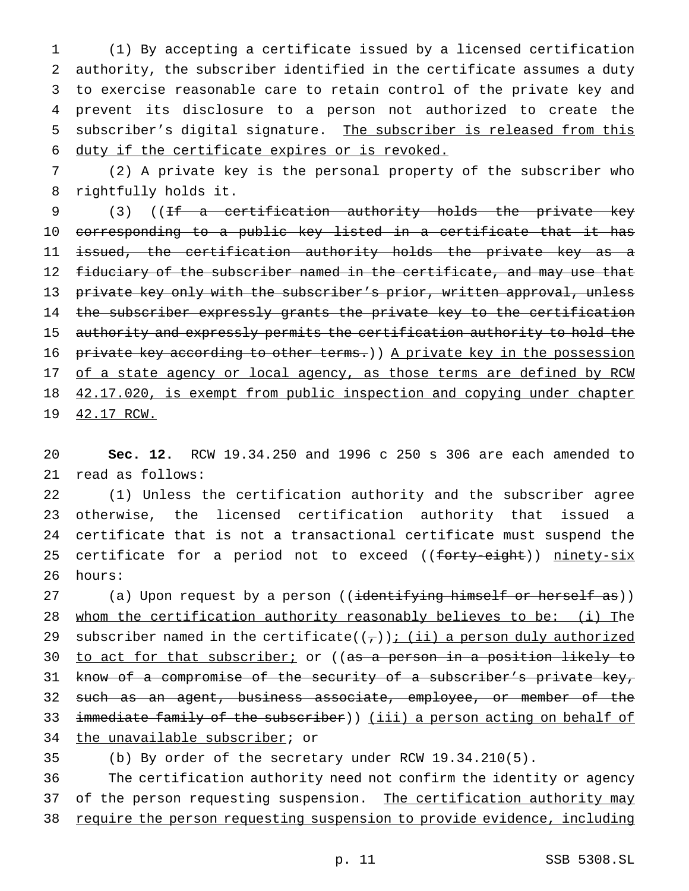(1) By accepting a certificate issued by a licensed certification authority, the subscriber identified in the certificate assumes a duty to exercise reasonable care to retain control of the private key and prevent its disclosure to a person not authorized to create the subscriber's digital signature. The subscriber is released from this duty if the certificate expires or is revoked.

7 (2) A private key is the personal property of the subscriber who 8 rightfully holds it.

9 (3) ((If a certification authority holds the private key 10 corresponding to a public key listed in a certificate that it has 11 issued, the certification authority holds the private key as a 12 fiduciary of the subscriber named in the certificate, and may use that 13 private key only with the subscriber's prior, written approval, unless 14 the subscriber expressly grants the private key to the certification 15 authority and expressly permits the certification authority to hold the 16 private key according to other terms.) A private key in the possession 17 of a state agency or local agency, as those terms are defined by RCW 18 42.17.020, is exempt from public inspection and copying under chapter 19 42.17 RCW.

20 **Sec. 12.** RCW 19.34.250 and 1996 c 250 s 306 are each amended to 21 read as follows:

22 (1) Unless the certification authority and the subscriber agree 23 otherwise, the licensed certification authority that issued a 24 certificate that is not a transactional certificate must suspend the 25 certificate for a period not to exceed ((forty-eight)) ninety-six 26 hours:

27 (a) Upon request by a person ((<del>identifying himself or herself as</del>)) 28 whom the certification authority reasonably believes to be: (i) The 29 subscriber named in the certificate( $(\tau)$ ); (ii) a person duly authorized 30 to act for that subscriber; or ((as a person in a position likely to 31 know of a compromise of the security of a subscriber's private key, 32 such as an agent, business associate, employee, or member of the 33 immediate family of the subscriber)) (iii) a person acting on behalf of 34 the unavailable subscriber; or

35 (b) By order of the secretary under RCW 19.34.210(5).

36 The certification authority need not confirm the identity or agency 37 of the person requesting suspension. The certification authority may 38 require the person requesting suspension to provide evidence, including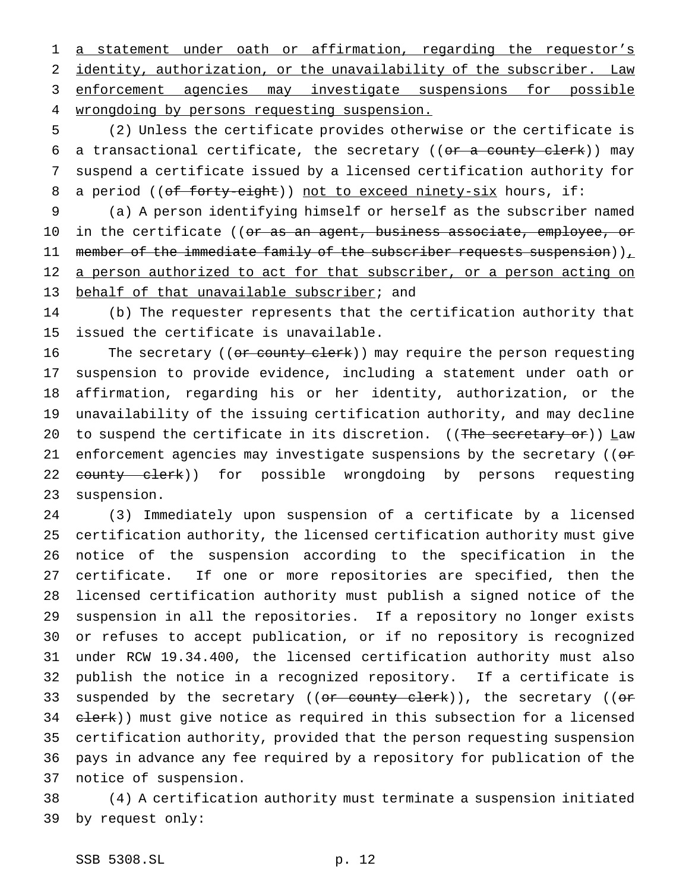1 a statement under oath or affirmation, regarding the requestor's identity, authorization, or the unavailability of the subscriber. Law enforcement agencies may investigate suspensions for possible 4 wrongdoing by persons requesting suspension.

 (2) Unless the certificate provides otherwise or the certificate is 6 a transactional certificate, the secretary (( $or$  a county clerk)) may suspend a certificate issued by a licensed certification authority for 8 a period ((of forty-eight)) not to exceed ninety-six hours, if:

 (a) A person identifying himself or herself as the subscriber named 10 in the certificate ((<del>or as an agent, business associate, employee, or</del> 11 member of the immediate family of the subscriber requests suspension)) $_L$ 12 a person authorized to act for that subscriber, or a person acting on 13 behalf of that unavailable subscriber; and

 (b) The requester represents that the certification authority that issued the certificate is unavailable.

16 The secretary ((or county clerk)) may require the person requesting suspension to provide evidence, including a statement under oath or affirmation, regarding his or her identity, authorization, or the unavailability of the issuing certification authority, and may decline 20 to suspend the certificate in its discretion. ((The secretary or)) Law 21 enforcement agencies may investigate suspensions by the secretary (( $\sigma$ 22 <del>county clerk</del>)) for possible wrongdoing by persons requesting suspension.

 (3) Immediately upon suspension of a certificate by a licensed certification authority, the licensed certification authority must give notice of the suspension according to the specification in the certificate. If one or more repositories are specified, then the licensed certification authority must publish a signed notice of the suspension in all the repositories. If a repository no longer exists or refuses to accept publication, or if no repository is recognized under RCW 19.34.400, the licensed certification authority must also publish the notice in a recognized repository. If a certificate is 33 suspended by the secretary ((or county clerk)), the secretary ((or 34 elerk)) must give notice as required in this subsection for a licensed certification authority, provided that the person requesting suspension pays in advance any fee required by a repository for publication of the notice of suspension.

 (4) A certification authority must terminate a suspension initiated by request only: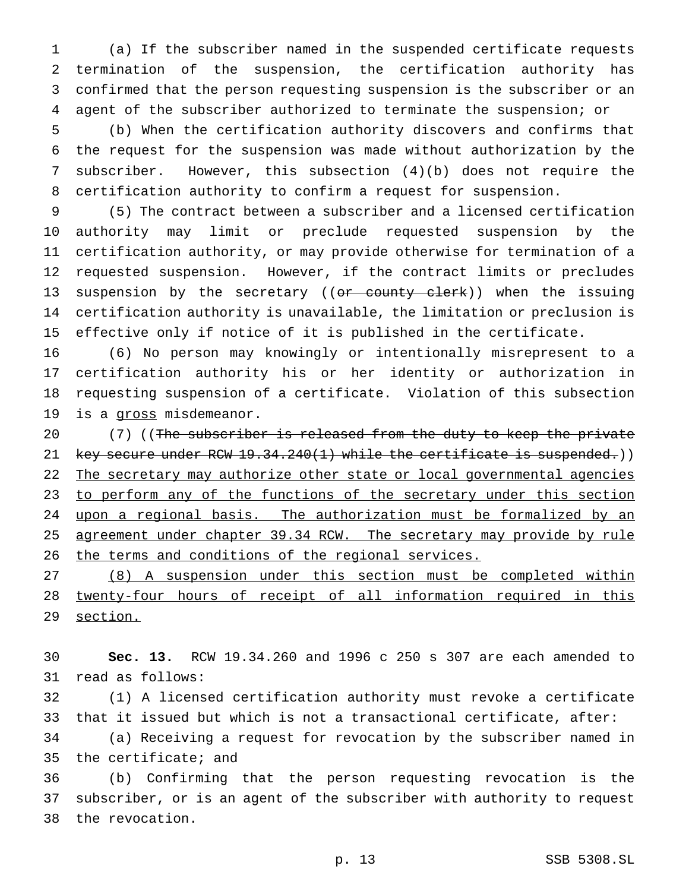(a) If the subscriber named in the suspended certificate requests termination of the suspension, the certification authority has confirmed that the person requesting suspension is the subscriber or an agent of the subscriber authorized to terminate the suspension; or

 (b) When the certification authority discovers and confirms that the request for the suspension was made without authorization by the subscriber. However, this subsection (4)(b) does not require the certification authority to confirm a request for suspension.

 (5) The contract between a subscriber and a licensed certification authority may limit or preclude requested suspension by the certification authority, or may provide otherwise for termination of a requested suspension. However, if the contract limits or precludes 13 suspension by the secretary ((or county clerk)) when the issuing certification authority is unavailable, the limitation or preclusion is effective only if notice of it is published in the certificate.

 (6) No person may knowingly or intentionally misrepresent to a certification authority his or her identity or authorization in requesting suspension of a certificate. Violation of this subsection 19 is a gross misdemeanor.

20 (7) ((The subscriber is released from the duty to keep the private 21 key secure under RCW 19.34.240(1) while the certificate is suspended.)) 22 The secretary may authorize other state or local governmental agencies 23 to perform any of the functions of the secretary under this section 24 upon a regional basis. The authorization must be formalized by an 25 agreement under chapter 39.34 RCW. The secretary may provide by rule 26 the terms and conditions of the regional services.

 (8) A suspension under this section must be completed within twenty-four hours of receipt of all information required in this 29 section.

 **Sec. 13.** RCW 19.34.260 and 1996 c 250 s 307 are each amended to read as follows:

 (1) A licensed certification authority must revoke a certificate that it issued but which is not a transactional certificate, after:

 (a) Receiving a request for revocation by the subscriber named in the certificate; and

 (b) Confirming that the person requesting revocation is the subscriber, or is an agent of the subscriber with authority to request the revocation.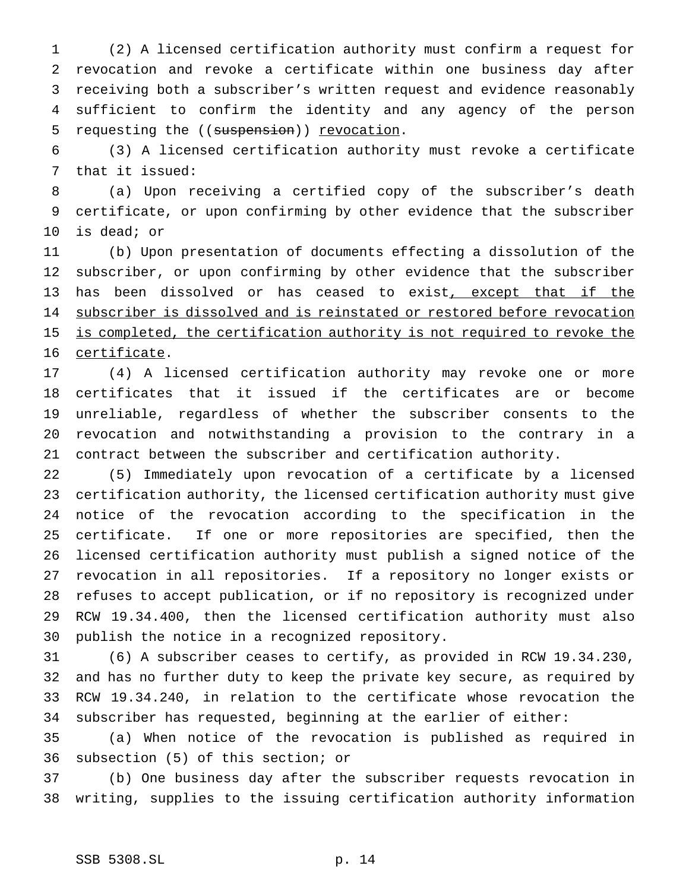(2) A licensed certification authority must confirm a request for revocation and revoke a certificate within one business day after receiving both a subscriber's written request and evidence reasonably sufficient to confirm the identity and any agency of the person 5 requesting the ((suspension)) revocation.

 (3) A licensed certification authority must revoke a certificate that it issued:

 (a) Upon receiving a certified copy of the subscriber's death certificate, or upon confirming by other evidence that the subscriber is dead; or

 (b) Upon presentation of documents effecting a dissolution of the subscriber, or upon confirming by other evidence that the subscriber 13 has been dissolved or has ceased to exist, except that if the 14 subscriber is dissolved and is reinstated or restored before revocation 15 is completed, the certification authority is not required to revoke the certificate.

 (4) A licensed certification authority may revoke one or more certificates that it issued if the certificates are or become unreliable, regardless of whether the subscriber consents to the revocation and notwithstanding a provision to the contrary in a contract between the subscriber and certification authority.

 (5) Immediately upon revocation of a certificate by a licensed certification authority, the licensed certification authority must give notice of the revocation according to the specification in the certificate. If one or more repositories are specified, then the licensed certification authority must publish a signed notice of the revocation in all repositories. If a repository no longer exists or refuses to accept publication, or if no repository is recognized under RCW 19.34.400, then the licensed certification authority must also publish the notice in a recognized repository.

 (6) A subscriber ceases to certify, as provided in RCW 19.34.230, and has no further duty to keep the private key secure, as required by RCW 19.34.240, in relation to the certificate whose revocation the subscriber has requested, beginning at the earlier of either:

 (a) When notice of the revocation is published as required in subsection (5) of this section; or

 (b) One business day after the subscriber requests revocation in writing, supplies to the issuing certification authority information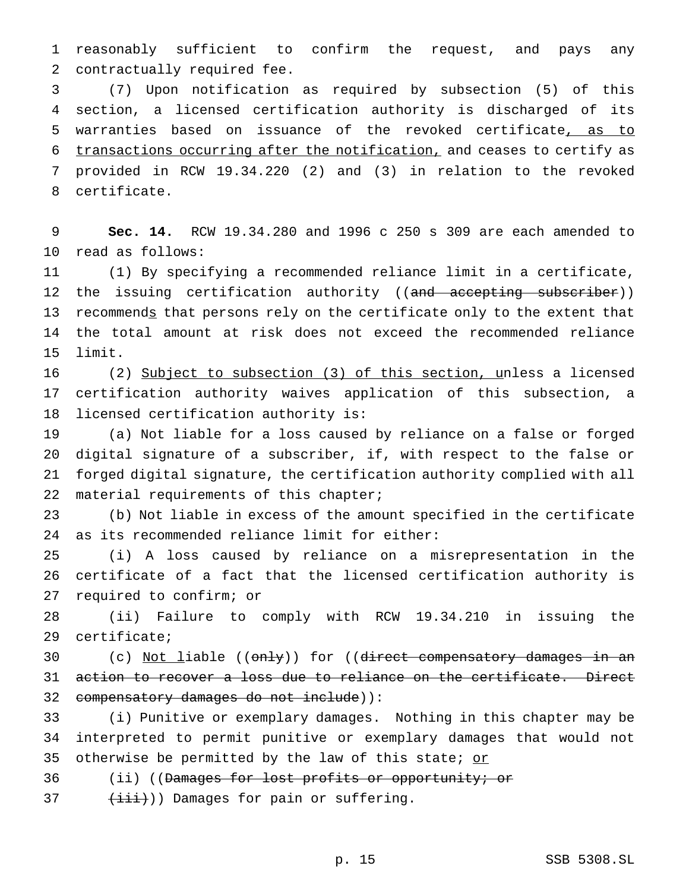reasonably sufficient to confirm the request, and pays any contractually required fee.

 (7) Upon notification as required by subsection (5) of this section, a licensed certification authority is discharged of its warranties based on issuance of the revoked certificate, as to transactions occurring after the notification, and ceases to certify as provided in RCW 19.34.220 (2) and (3) in relation to the revoked certificate.

 **Sec. 14.** RCW 19.34.280 and 1996 c 250 s 309 are each amended to read as follows:

 (1) By specifying a recommended reliance limit in a certificate, 12 the issuing certification authority ((and accepting subscriber)) 13 recommends that persons rely on the certificate only to the extent that the total amount at risk does not exceed the recommended reliance limit.

 (2) Subject to subsection (3) of this section, unless a licensed certification authority waives application of this subsection, a licensed certification authority is:

 (a) Not liable for a loss caused by reliance on a false or forged digital signature of a subscriber, if, with respect to the false or forged digital signature, the certification authority complied with all 22 material requirements of this chapter;

 (b) Not liable in excess of the amount specified in the certificate as its recommended reliance limit for either:

 (i) A loss caused by reliance on a misrepresentation in the certificate of a fact that the licensed certification authority is required to confirm; or

 (ii) Failure to comply with RCW 19.34.210 in issuing the certificate;

30 (c) Not liable ((only)) for ((direct compensatory damages in an action to recover a loss due to reliance on the certificate. Direct compensatory damages do not include)):

 (i) Punitive or exemplary damages. Nothing in this chapter may be interpreted to permit punitive or exemplary damages that would not 35 otherwise be permitted by the law of this state; or

36 (ii) ((Damages for lost profits or opportunity; or

 $(\overrightarrow{\text{iii}}))$  Damages for pain or suffering.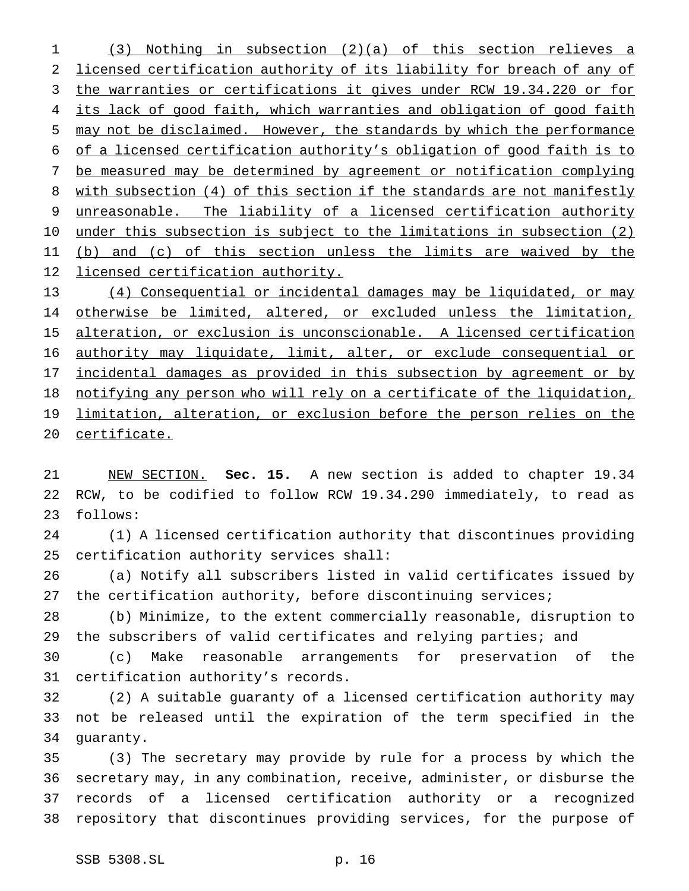(3) Nothing in subsection (2)(a) of this section relieves a licensed certification authority of its liability for breach of any of the warranties or certifications it gives under RCW 19.34.220 or for 4 its lack of good faith, which warranties and obligation of good faith may not be disclaimed. However, the standards by which the performance of a licensed certification authority's obligation of good faith is to be measured may be determined by agreement or notification complying with subsection (4) of this section if the standards are not manifestly unreasonable. The liability of a licensed certification authority 10 under this subsection is subject to the limitations in subsection (2) 11 (b) and (c) of this section unless the limits are waived by the 12 licensed certification authority. (4) Consequential or incidental damages may be liquidated, or may

 otherwise be limited, altered, or excluded unless the limitation, alteration, or exclusion is unconscionable. A licensed certification 16 authority may liquidate, limit, alter, or exclude consequential or incidental damages as provided in this subsection by agreement or by notifying any person who will rely on a certificate of the liquidation, 19 limitation, alteration, or exclusion before the person relies on the certificate.

 NEW SECTION. **Sec. 15.** A new section is added to chapter 19.34 RCW, to be codified to follow RCW 19.34.290 immediately, to read as follows:

 (1) A licensed certification authority that discontinues providing certification authority services shall:

 (a) Notify all subscribers listed in valid certificates issued by the certification authority, before discontinuing services;

 (b) Minimize, to the extent commercially reasonable, disruption to 29 the subscribers of valid certificates and relying parties; and

 (c) Make reasonable arrangements for preservation of the certification authority's records.

 (2) A suitable guaranty of a licensed certification authority may not be released until the expiration of the term specified in the guaranty.

 (3) The secretary may provide by rule for a process by which the secretary may, in any combination, receive, administer, or disburse the records of a licensed certification authority or a recognized repository that discontinues providing services, for the purpose of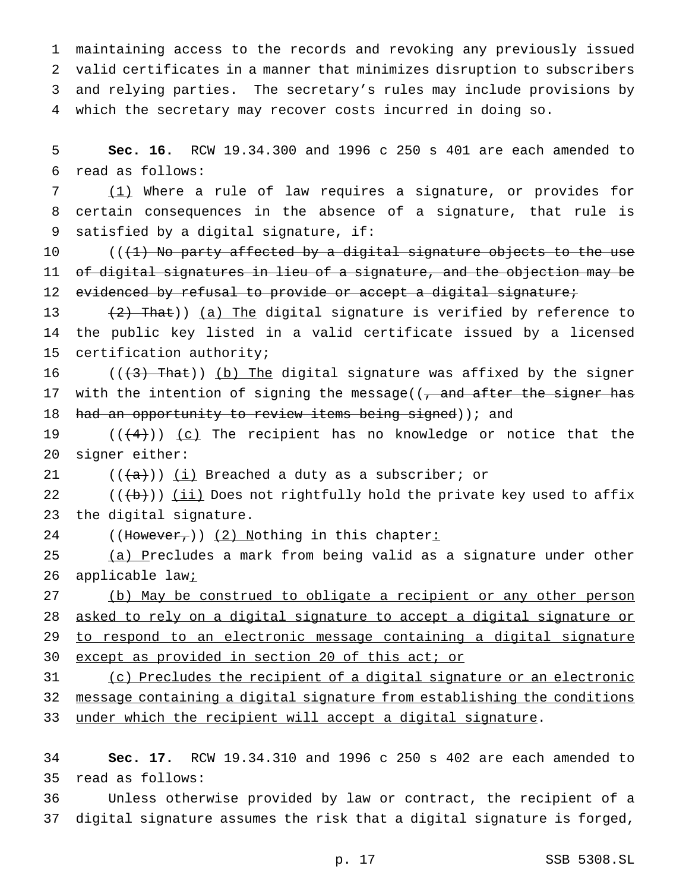maintaining access to the records and revoking any previously issued valid certificates in a manner that minimizes disruption to subscribers and relying parties. The secretary's rules may include provisions by which the secretary may recover costs incurred in doing so.

 **Sec. 16.** RCW 19.34.300 and 1996 c 250 s 401 are each amended to read as follows:

 (1) Where a rule of law requires a signature, or provides for certain consequences in the absence of a signature, that rule is satisfied by a digital signature, if:

 $((+1)$  No party affected by a digital signature objects to the use of digital signatures in lieu of a signature, and the objection may be 12 evidenced by refusal to provide or accept a digital signature;

13  $(2)$  That)) (a) The digital signature is verified by reference to the public key listed in a valid certificate issued by a licensed certification authority;

16  $((+3)$  That)) (b) The digital signature was affixed by the signer 17 with the intention of signing the message( $\sqrt{7}$  and after the signer has 18 had an opportunity to review items being signed)); and

19  $((+4))$   $(c)$  The recipient has no knowledge or notice that the signer either:

 $((+a))$  (i) Breached a duty as a subscriber; or

22  $((+b))$  ( $\underline{i}\underline{i}$ ) Does not rightfully hold the private key used to affix the digital signature.

24 ((However,)) (2) Nothing in this chapter:

25 (a) Precludes a mark from being valid as a signature under other 26 applicable law;

 (b) May be construed to obligate a recipient or any other person asked to rely on a digital signature to accept a digital signature or to respond to an electronic message containing a digital signature except as provided in section 20 of this act; or

 (c) Precludes the recipient of a digital signature or an electronic message containing a digital signature from establishing the conditions 33 under which the recipient will accept a digital signature.

 **Sec. 17.** RCW 19.34.310 and 1996 c 250 s 402 are each amended to read as follows:

 Unless otherwise provided by law or contract, the recipient of a digital signature assumes the risk that a digital signature is forged,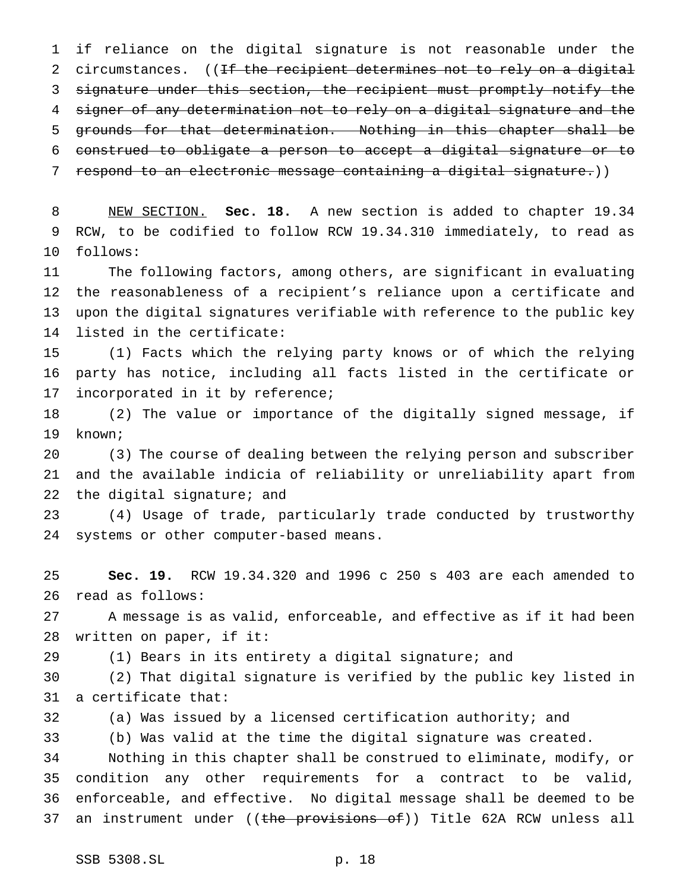if reliance on the digital signature is not reasonable under the 2 circumstances. ((If the recipient determines not to rely on a digital signature under this section, the recipient must promptly notify the signer of any determination not to rely on a digital signature and the grounds for that determination. Nothing in this chapter shall be construed to obligate a person to accept a digital signature or to 7 respond to an electronic message containing a digital signature.))

 NEW SECTION. **Sec. 18.** A new section is added to chapter 19.34 RCW, to be codified to follow RCW 19.34.310 immediately, to read as follows:

 The following factors, among others, are significant in evaluating the reasonableness of a recipient's reliance upon a certificate and upon the digital signatures verifiable with reference to the public key listed in the certificate:

 (1) Facts which the relying party knows or of which the relying party has notice, including all facts listed in the certificate or incorporated in it by reference;

 (2) The value or importance of the digitally signed message, if known;

 (3) The course of dealing between the relying person and subscriber and the available indicia of reliability or unreliability apart from 22 the digital signature; and

 (4) Usage of trade, particularly trade conducted by trustworthy systems or other computer-based means.

 **Sec. 19.** RCW 19.34.320 and 1996 c 250 s 403 are each amended to read as follows:

 A message is as valid, enforceable, and effective as if it had been written on paper, if it:

(1) Bears in its entirety a digital signature; and

 (2) That digital signature is verified by the public key listed in a certificate that:

(a) Was issued by a licensed certification authority; and

(b) Was valid at the time the digital signature was created.

 Nothing in this chapter shall be construed to eliminate, modify, or condition any other requirements for a contract to be valid, enforceable, and effective. No digital message shall be deemed to be 37 an instrument under ((<del>the provisions of</del>)) Title 62A RCW unless all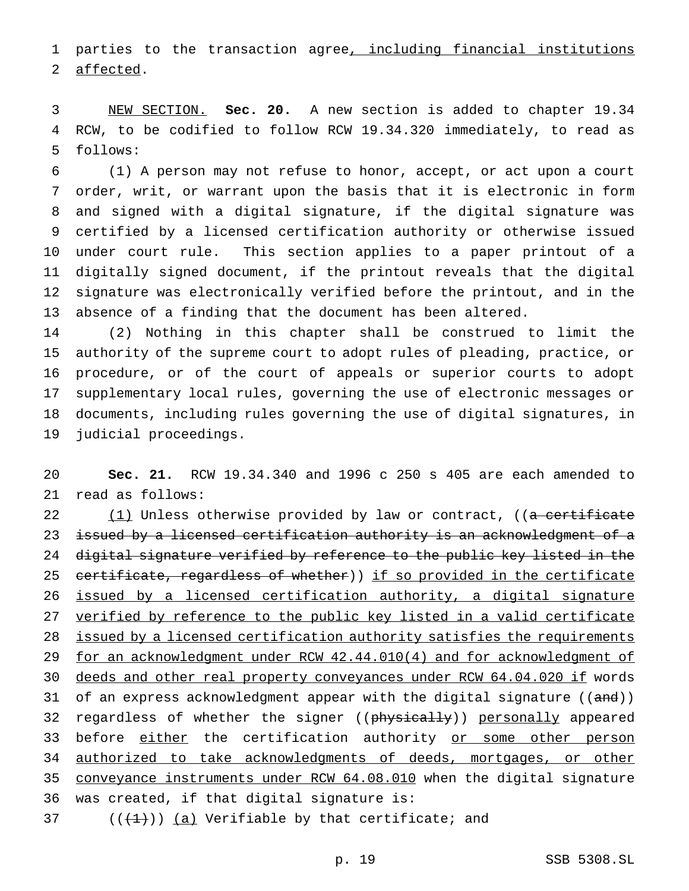1 parties to the transaction agree, including financial institutions affected.

 NEW SECTION. **Sec. 20.** A new section is added to chapter 19.34 RCW, to be codified to follow RCW 19.34.320 immediately, to read as follows:

 (1) A person may not refuse to honor, accept, or act upon a court order, writ, or warrant upon the basis that it is electronic in form and signed with a digital signature, if the digital signature was certified by a licensed certification authority or otherwise issued under court rule. This section applies to a paper printout of a digitally signed document, if the printout reveals that the digital signature was electronically verified before the printout, and in the absence of a finding that the document has been altered.

 (2) Nothing in this chapter shall be construed to limit the authority of the supreme court to adopt rules of pleading, practice, or procedure, or of the court of appeals or superior courts to adopt supplementary local rules, governing the use of electronic messages or documents, including rules governing the use of digital signatures, in judicial proceedings.

 **Sec. 21.** RCW 19.34.340 and 1996 c 250 s 405 are each amended to read as follows:

22 (1) Unless otherwise provided by law or contract, ((a certificate 23 issued by a licensed certification authority is an acknowledgment of a digital signature verified by reference to the public key listed in the 25 certificate, regardless of whether)) if so provided in the certificate issued by a licensed certification authority, a digital signature verified by reference to the public key listed in a valid certificate 28 issued by a licensed certification authority satisfies the requirements for an acknowledgment under RCW 42.44.010(4) and for acknowledgment of deeds and other real property conveyances under RCW 64.04.020 if words 31 of an express acknowledgment appear with the digital signature ((and)) 32 regardless of whether the signer ((physically)) personally appeared 33 before either the certification authority or some other person 34 authorized to take acknowledgments of deeds, mortgages, or other conveyance instruments under RCW 64.08.010 when the digital signature was created, if that digital signature is:

37  $((+1))$   $(a)$  Verifiable by that certificate; and

p. 19 SSB 5308.SL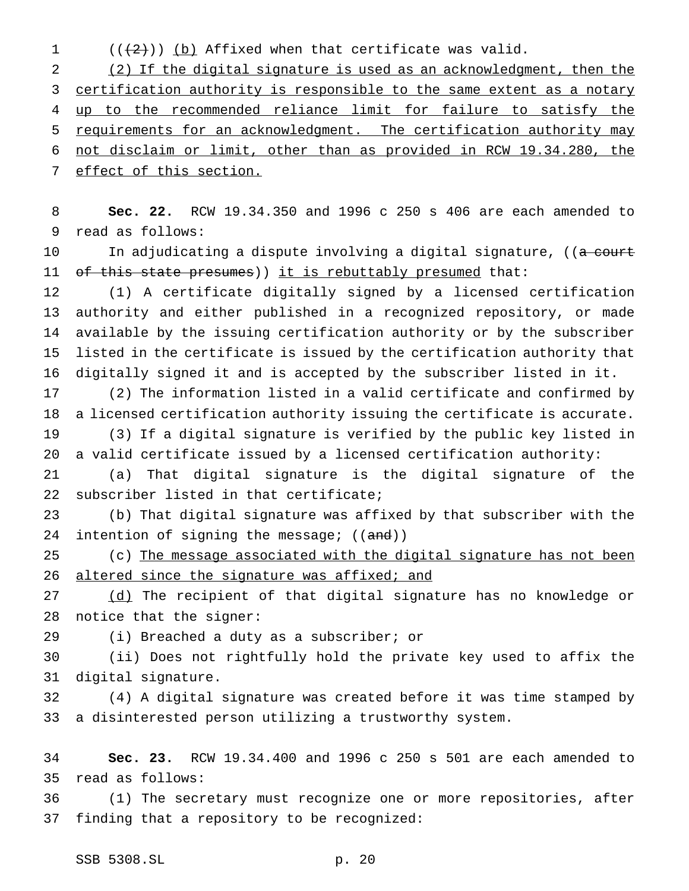1  $((+2)^{n})$  (b) Affixed when that certificate was valid.

 (2) If the digital signature is used as an acknowledgment, then the 3 certification authority is responsible to the same extent as a notary up to the recommended reliance limit for failure to satisfy the requirements for an acknowledgment. The certification authority may not disclaim or limit, other than as provided in RCW 19.34.280, the effect of this section.

 **Sec. 22.** RCW 19.34.350 and 1996 c 250 s 406 are each amended to read as follows:

10 In adjudicating a dispute involving a digital signature, ((<del>a court</del> 11 of this state presumes)) it is rebuttably presumed that:

 (1) A certificate digitally signed by a licensed certification authority and either published in a recognized repository, or made available by the issuing certification authority or by the subscriber listed in the certificate is issued by the certification authority that digitally signed it and is accepted by the subscriber listed in it.

 (2) The information listed in a valid certificate and confirmed by a licensed certification authority issuing the certificate is accurate.

 (3) If a digital signature is verified by the public key listed in a valid certificate issued by a licensed certification authority:

 (a) That digital signature is the digital signature of the subscriber listed in that certificate;

 (b) That digital signature was affixed by that subscriber with the 24 intention of signing the message; ((and))

25 (c) The message associated with the digital signature has not been 26 altered since the signature was affixed; and

27 (d) The recipient of that digital signature has no knowledge or notice that the signer:

(i) Breached a duty as a subscriber; or

 (ii) Does not rightfully hold the private key used to affix the digital signature.

 (4) A digital signature was created before it was time stamped by a disinterested person utilizing a trustworthy system.

 **Sec. 23.** RCW 19.34.400 and 1996 c 250 s 501 are each amended to read as follows:

 (1) The secretary must recognize one or more repositories, after finding that a repository to be recognized: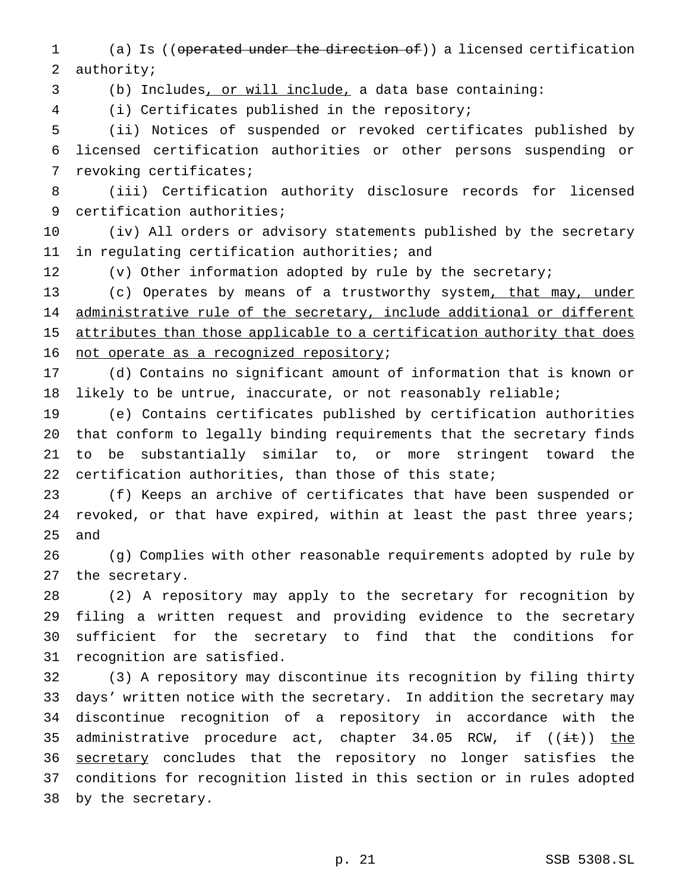(a) Is ((operated under the direction of)) a licensed certification authority;

(b) Includes, or will include, a data base containing:

(i) Certificates published in the repository;

 (ii) Notices of suspended or revoked certificates published by licensed certification authorities or other persons suspending or revoking certificates;

 (iii) Certification authority disclosure records for licensed certification authorities;

 (iv) All orders or advisory statements published by the secretary in regulating certification authorities; and

(v) Other information adopted by rule by the secretary;

13 (c) Operates by means of a trustworthy system, that may, under 14 administrative rule of the secretary, include additional or different 15 attributes than those applicable to a certification authority that does 16 not operate as a recognized repository;

 (d) Contains no significant amount of information that is known or likely to be untrue, inaccurate, or not reasonably reliable;

 (e) Contains certificates published by certification authorities that conform to legally binding requirements that the secretary finds to be substantially similar to, or more stringent toward the 22 certification authorities, than those of this state;

 (f) Keeps an archive of certificates that have been suspended or 24 revoked, or that have expired, within at least the past three years; and

 (g) Complies with other reasonable requirements adopted by rule by the secretary.

 (2) A repository may apply to the secretary for recognition by filing a written request and providing evidence to the secretary sufficient for the secretary to find that the conditions for recognition are satisfied.

 (3) A repository may discontinue its recognition by filing thirty days' written notice with the secretary. In addition the secretary may discontinue recognition of a repository in accordance with the 35 administrative procedure act, chapter  $34.05$  RCW, if  $((\pm \epsilon))$  the 36 secretary concludes that the repository no longer satisfies the conditions for recognition listed in this section or in rules adopted by the secretary.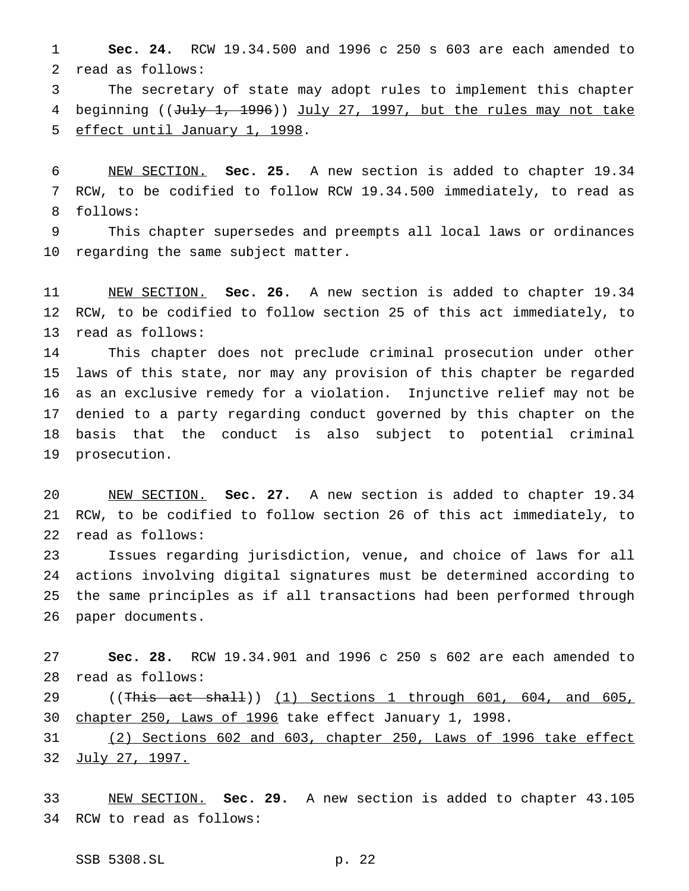**Sec. 24.** RCW 19.34.500 and 1996 c 250 s 603 are each amended to read as follows:

 The secretary of state may adopt rules to implement this chapter 4 beginning ((July 1, 1996)) July 27, 1997, but the rules may not take effect until January 1, 1998.

 NEW SECTION. **Sec. 25.** A new section is added to chapter 19.34 RCW, to be codified to follow RCW 19.34.500 immediately, to read as follows:

 This chapter supersedes and preempts all local laws or ordinances regarding the same subject matter.

 NEW SECTION. **Sec. 26.** A new section is added to chapter 19.34 RCW, to be codified to follow section 25 of this act immediately, to read as follows:

 This chapter does not preclude criminal prosecution under other laws of this state, nor may any provision of this chapter be regarded as an exclusive remedy for a violation. Injunctive relief may not be denied to a party regarding conduct governed by this chapter on the basis that the conduct is also subject to potential criminal prosecution.

 NEW SECTION. **Sec. 27.** A new section is added to chapter 19.34 RCW, to be codified to follow section 26 of this act immediately, to read as follows:

 Issues regarding jurisdiction, venue, and choice of laws for all actions involving digital signatures must be determined according to the same principles as if all transactions had been performed through paper documents.

 **Sec. 28.** RCW 19.34.901 and 1996 c 250 s 602 are each amended to read as follows:

29 ((This act shall)) (1) Sections 1 through 601, 604, and 605, chapter 250, Laws of 1996 take effect January 1, 1998.

 (2) Sections 602 and 603, chapter 250, Laws of 1996 take effect 32 July 27, 1997.

 NEW SECTION. **Sec. 29.** A new section is added to chapter 43.105 RCW to read as follows: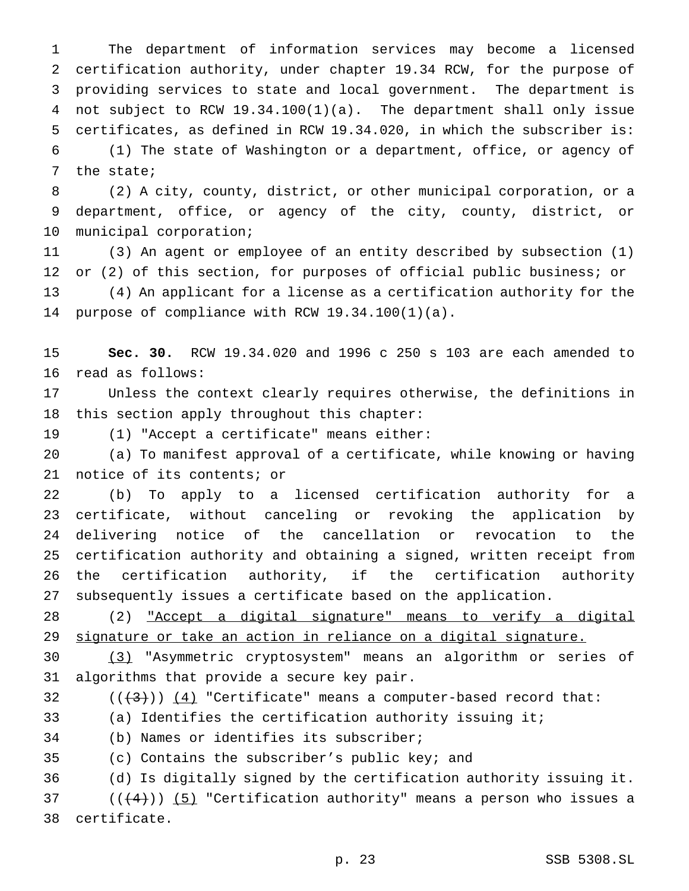The department of information services may become a licensed certification authority, under chapter 19.34 RCW, for the purpose of providing services to state and local government. The department is not subject to RCW 19.34.100(1)(a). The department shall only issue certificates, as defined in RCW 19.34.020, in which the subscriber is: (1) The state of Washington or a department, office, or agency of the state;

 (2) A city, county, district, or other municipal corporation, or a department, office, or agency of the city, county, district, or municipal corporation;

 (3) An agent or employee of an entity described by subsection (1) or (2) of this section, for purposes of official public business; or (4) An applicant for a license as a certification authority for the purpose of compliance with RCW 19.34.100(1)(a).

 **Sec. 30.** RCW 19.34.020 and 1996 c 250 s 103 are each amended to read as follows:

 Unless the context clearly requires otherwise, the definitions in this section apply throughout this chapter:

(1) "Accept a certificate" means either:

 (a) To manifest approval of a certificate, while knowing or having notice of its contents; or

 (b) To apply to a licensed certification authority for a certificate, without canceling or revoking the application by delivering notice of the cancellation or revocation to the certification authority and obtaining a signed, written receipt from the certification authority, if the certification authority subsequently issues a certificate based on the application.

 (2) "Accept a digital signature" means to verify a digital signature or take an action in reliance on a digital signature.

 (3) "Asymmetric cryptosystem" means an algorithm or series of algorithms that provide a secure key pair.

 $((+3))$   $(4)$  "Certificate" means a computer-based record that:

(a) Identifies the certification authority issuing it;

(b) Names or identifies its subscriber;

(c) Contains the subscriber's public key; and

(d) Is digitally signed by the certification authority issuing it.

37 ( $(\frac{4}{4})$ ) (5) "Certification authority" means a person who issues a certificate.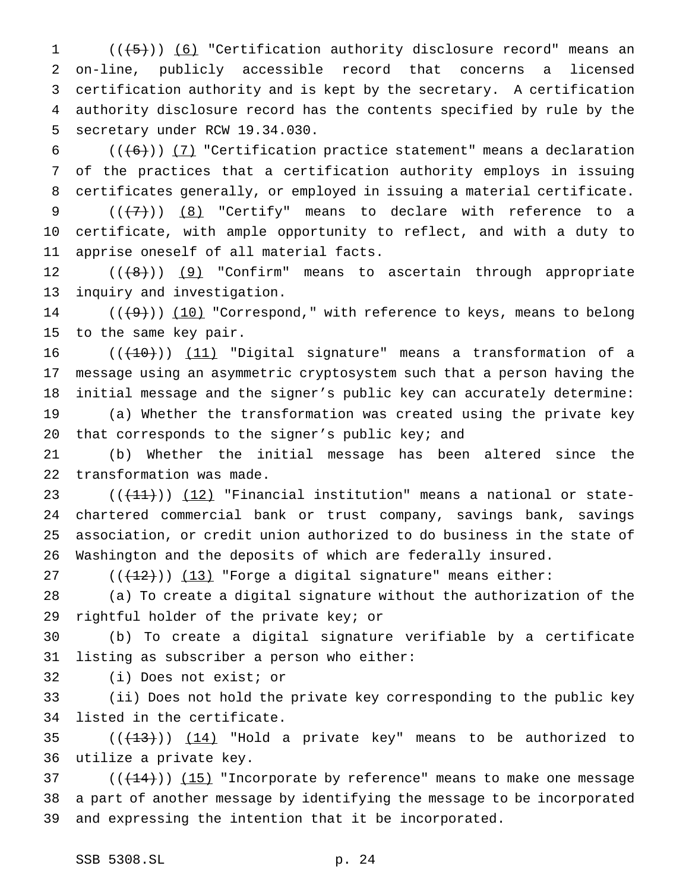$((\overline{5}))$  (6) "Certification authority disclosure record" means an on-line, publicly accessible record that concerns a licensed certification authority and is kept by the secretary. A certification authority disclosure record has the contents specified by rule by the secretary under RCW 19.34.030.

 $((+6))$  (7) "Certification practice statement" means a declaration of the practices that a certification authority employs in issuing certificates generally, or employed in issuing a material certificate.

 $((+7+))$  (8) "Certify" means to declare with reference to a certificate, with ample opportunity to reflect, and with a duty to apprise oneself of all material facts.

12 (((8)) (9) "Confirm" means to ascertain through appropriate inquiry and investigation.

14  $((+9))$   $(10)$  "Correspond," with reference to keys, means to belong to the same key pair.

 $((+10))$   $(11)$  "Digital signature" means a transformation of a message using an asymmetric cryptosystem such that a person having the initial message and the signer's public key can accurately determine: (a) Whether the transformation was created using the private key

20 that corresponds to the signer's public key; and

 (b) Whether the initial message has been altered since the transformation was made.

 $((+11))$   $(12)$  "Financial institution" means a national or state- chartered commercial bank or trust company, savings bank, savings association, or credit union authorized to do business in the state of Washington and the deposits of which are federally insured.

 $((+2)^2)$   $(13)$  "Forge a digital signature" means either:

 (a) To create a digital signature without the authorization of the rightful holder of the private key; or

 (b) To create a digital signature verifiable by a certificate listing as subscriber a person who either:

(i) Does not exist; or

 (ii) Does not hold the private key corresponding to the public key listed in the certificate.

35  $((+13))$   $(14)$  "Hold a private key" means to be authorized to utilize a private key.

37  $((+14))$   $(15)$  "Incorporate by reference" means to make one message a part of another message by identifying the message to be incorporated and expressing the intention that it be incorporated.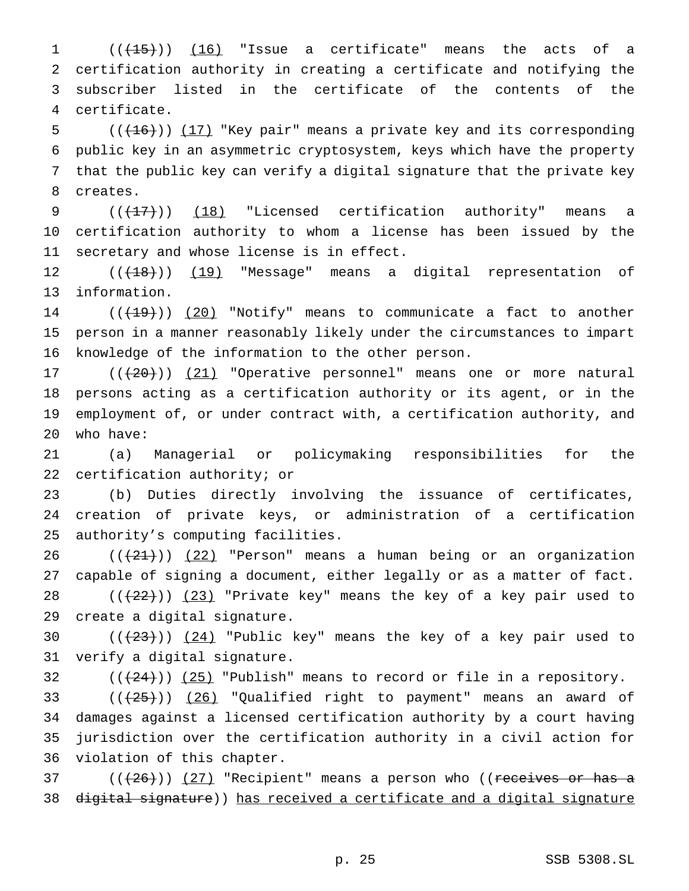$((+15))$   $(16)$  "Issue a certificate" means the acts of a certification authority in creating a certificate and notifying the subscriber listed in the certificate of the contents of the certificate.

 $((+16))$   $(17)$  "Key pair" means a private key and its corresponding public key in an asymmetric cryptosystem, keys which have the property that the public key can verify a digital signature that the private key creates.

9 (( $(17)$ )) (18) "Licensed certification authority" means a certification authority to whom a license has been issued by the secretary and whose license is in effect.

 $((+18))$   $(19)$  "Message" means a digital representation of information.

14  $((+19))$   $(20)$  "Notify" means to communicate a fact to another person in a manner reasonably likely under the circumstances to impart knowledge of the information to the other person.

17 (( $(20)$ )) (21) "Operative personnel" means one or more natural persons acting as a certification authority or its agent, or in the employment of, or under contract with, a certification authority, and who have:

 (a) Managerial or policymaking responsibilities for the certification authority; or

 (b) Duties directly involving the issuance of certificates, creation of private keys, or administration of a certification authority's computing facilities.

 $((+21))$   $(22)$  "Person" means a human being or an organization capable of signing a document, either legally or as a matter of fact.  $((+22))$   $(23)$  "Private key" means the key of a key pair used to create a digital signature.

30  $((+23))$   $(24)$  "Public key" means the key of a key pair used to verify a digital signature.

 $(1+24)$ )  $(25)$  "Publish" means to record or file in a repository.

33 ( $(\overline{25})$ ) (26) "Qualified right to payment" means an award of damages against a licensed certification authority by a court having jurisdiction over the certification authority in a civil action for violation of this chapter.

37 ( $(\frac{26}{12})$   $(27)$  "Recipient" means a person who ((receives or has a digital signature)) has received a certificate and a digital signature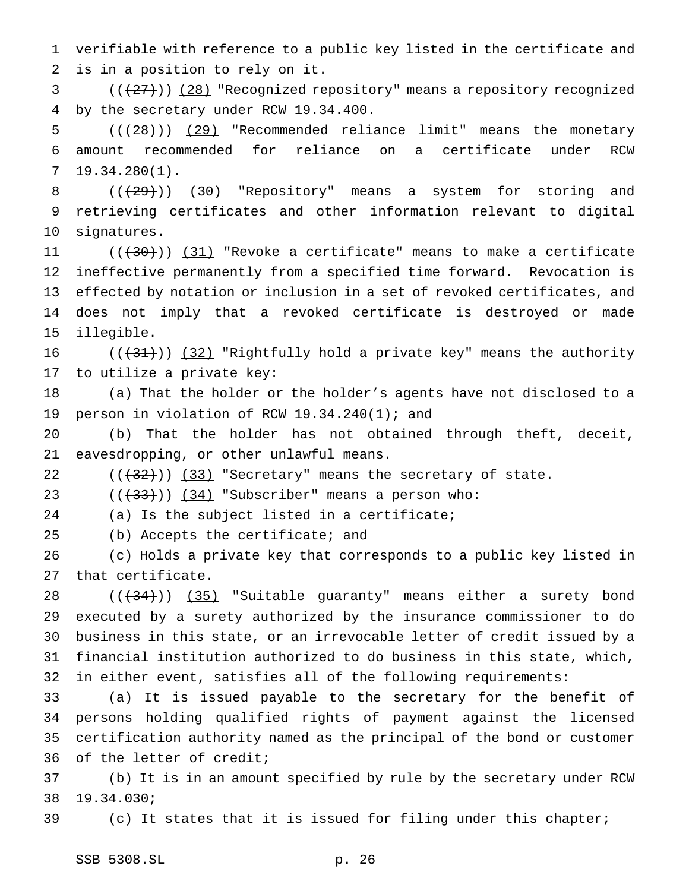1 verifiable with reference to a public key listed in the certificate and is in a position to rely on it.

3 (( $(27)$ )) (28) "Recognized repository" means a repository recognized by the secretary under RCW 19.34.400.

5  $((+28))$   $(29)$  "Recommended reliance limit" means the monetary amount recommended for reliance on a certificate under RCW 19.34.280(1).

8 (( $\left(\frac{29}{12}\right)$ ) (30) "Repository" means a system for storing and retrieving certificates and other information relevant to digital signatures.

 $((+30))$   $(31)$  "Revoke a certificate" means to make a certificate ineffective permanently from a specified time forward. Revocation is effected by notation or inclusion in a set of revoked certificates, and does not imply that a revoked certificate is destroyed or made illegible.

16  $((+31))$   $(32)$  "Rightfully hold a private key" means the authority to utilize a private key:

 (a) That the holder or the holder's agents have not disclosed to a person in violation of RCW 19.34.240(1); and

 (b) That the holder has not obtained through theft, deceit, eavesdropping, or other unlawful means.

 $((+32))$   $(33)$  "Secretary" means the secretary of state.

23  $((+33))$   $(34)$  "Subscriber" means a person who:

(a) Is the subject listed in a certificate;

(b) Accepts the certificate; and

 (c) Holds a private key that corresponds to a public key listed in that certificate.

 $((+34))$   $(35)$  "Suitable guaranty" means either a surety bond executed by a surety authorized by the insurance commissioner to do business in this state, or an irrevocable letter of credit issued by a financial institution authorized to do business in this state, which, in either event, satisfies all of the following requirements:

 (a) It is issued payable to the secretary for the benefit of persons holding qualified rights of payment against the licensed certification authority named as the principal of the bond or customer of the letter of credit;

 (b) It is in an amount specified by rule by the secretary under RCW 19.34.030;

(c) It states that it is issued for filing under this chapter;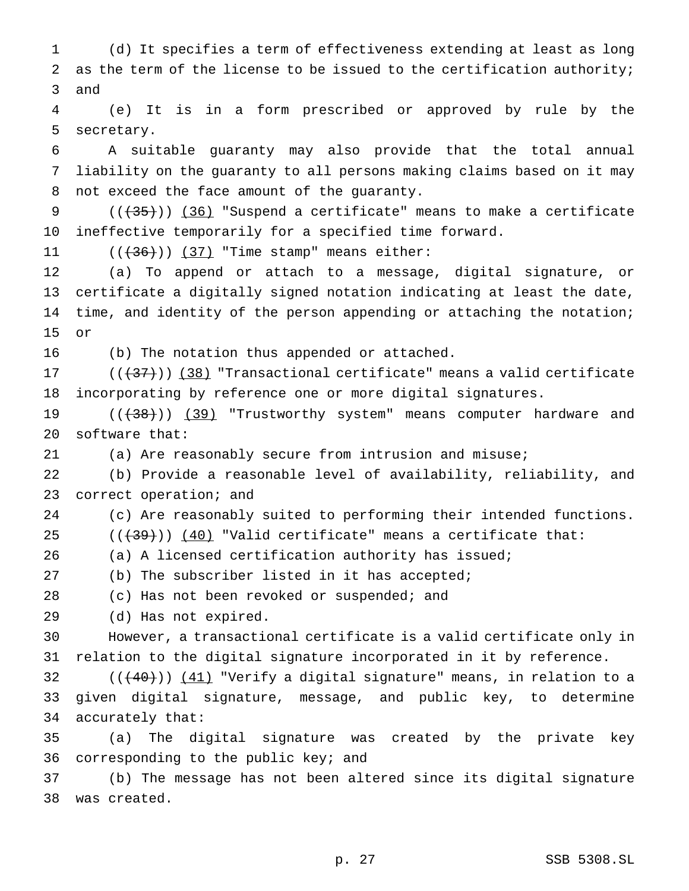(d) It specifies a term of effectiveness extending at least as long 2 as the term of the license to be issued to the certification authority; and (e) It is in a form prescribed or approved by rule by the

secretary.

 A suitable guaranty may also provide that the total annual liability on the guaranty to all persons making claims based on it may not exceed the face amount of the guaranty.

 $((+35))$  (36) "Suspend a certificate" means to make a certificate ineffective temporarily for a specified time forward.

11  $((+36))$   $(37)$  "Time stamp" means either:

 (a) To append or attach to a message, digital signature, or certificate a digitally signed notation indicating at least the date, time, and identity of the person appending or attaching the notation; or

(b) The notation thus appended or attached.

 $((+37))$   $(38)$  "Transactional certificate" means a valid certificate incorporating by reference one or more digital signatures.

19 (( $(38)$ ) (39) "Trustworthy system" means computer hardware and software that:

(a) Are reasonably secure from intrusion and misuse;

 (b) Provide a reasonable level of availability, reliability, and correct operation; and

(c) Are reasonably suited to performing their intended functions.

25  $((+39))$   $(40)$  "Valid certificate" means a certificate that:

(a) A licensed certification authority has issued;

(b) The subscriber listed in it has accepted;

(c) Has not been revoked or suspended; and

(d) Has not expired.

 However, a transactional certificate is a valid certificate only in relation to the digital signature incorporated in it by reference.

32  $((+40))$   $(41)$  "Verify a digital signature" means, in relation to a given digital signature, message, and public key, to determine accurately that:

 (a) The digital signature was created by the private key corresponding to the public key; and

 (b) The message has not been altered since its digital signature was created.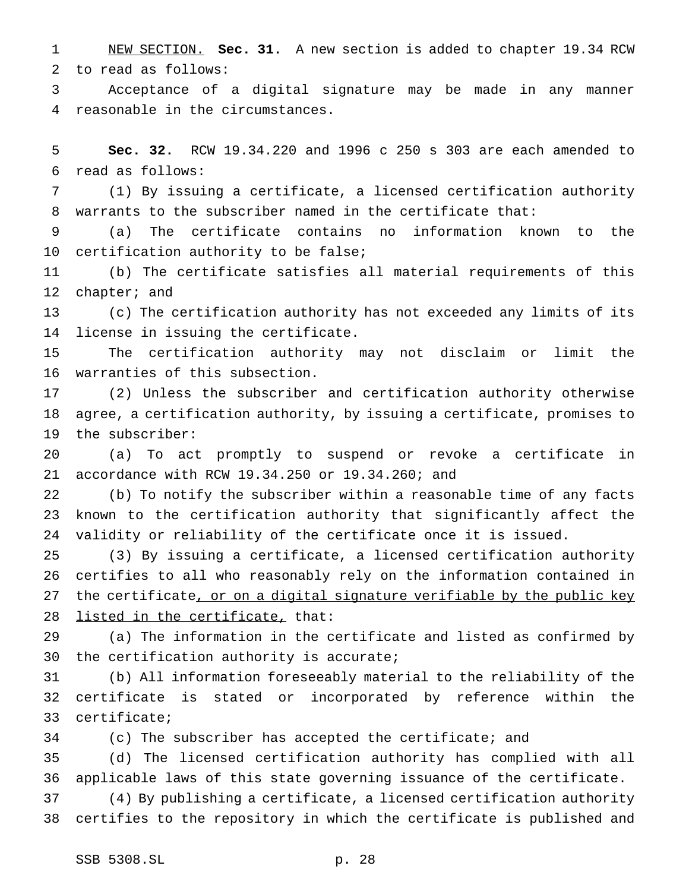NEW SECTION. **Sec. 31.** A new section is added to chapter 19.34 RCW to read as follows:

 Acceptance of a digital signature may be made in any manner reasonable in the circumstances.

 **Sec. 32.** RCW 19.34.220 and 1996 c 250 s 303 are each amended to read as follows:

 (1) By issuing a certificate, a licensed certification authority warrants to the subscriber named in the certificate that:

 (a) The certificate contains no information known to the certification authority to be false;

 (b) The certificate satisfies all material requirements of this chapter; and

 (c) The certification authority has not exceeded any limits of its license in issuing the certificate.

 The certification authority may not disclaim or limit the warranties of this subsection.

 (2) Unless the subscriber and certification authority otherwise agree, a certification authority, by issuing a certificate, promises to the subscriber:

 (a) To act promptly to suspend or revoke a certificate in accordance with RCW 19.34.250 or 19.34.260; and

 (b) To notify the subscriber within a reasonable time of any facts known to the certification authority that significantly affect the validity or reliability of the certificate once it is issued.

 (3) By issuing a certificate, a licensed certification authority certifies to all who reasonably rely on the information contained in 27 the certificate, or on a digital signature verifiable by the public key 28 listed in the certificate, that:

 (a) The information in the certificate and listed as confirmed by the certification authority is accurate;

 (b) All information foreseeably material to the reliability of the certificate is stated or incorporated by reference within the certificate;

(c) The subscriber has accepted the certificate; and

 (d) The licensed certification authority has complied with all applicable laws of this state governing issuance of the certificate.

 (4) By publishing a certificate, a licensed certification authority certifies to the repository in which the certificate is published and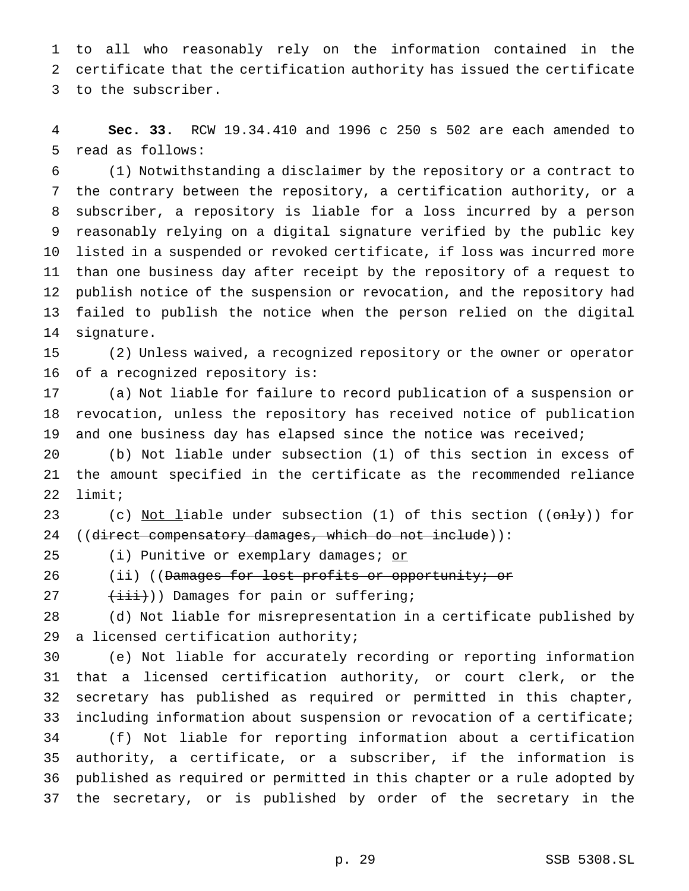to all who reasonably rely on the information contained in the certificate that the certification authority has issued the certificate to the subscriber.

 **Sec. 33.** RCW 19.34.410 and 1996 c 250 s 502 are each amended to read as follows:

 (1) Notwithstanding a disclaimer by the repository or a contract to the contrary between the repository, a certification authority, or a subscriber, a repository is liable for a loss incurred by a person reasonably relying on a digital signature verified by the public key listed in a suspended or revoked certificate, if loss was incurred more than one business day after receipt by the repository of a request to publish notice of the suspension or revocation, and the repository had failed to publish the notice when the person relied on the digital signature.

 (2) Unless waived, a recognized repository or the owner or operator of a recognized repository is:

 (a) Not liable for failure to record publication of a suspension or revocation, unless the repository has received notice of publication and one business day has elapsed since the notice was received;

 (b) Not liable under subsection (1) of this section in excess of the amount specified in the certificate as the recommended reliance limit;

23 (c) Not liable under subsection (1) of this section ((only)) for 24 ((direct compensatory damages, which do not include)):

25 (i) Punitive or exemplary damages; or

26 (ii) ((Damages for lost profits or opportunity; or

 $(\overrightarrow{\text{iii}}))$  Damages for pain or suffering;

 (d) Not liable for misrepresentation in a certificate published by a licensed certification authority;

 (e) Not liable for accurately recording or reporting information that a licensed certification authority, or court clerk, or the secretary has published as required or permitted in this chapter, including information about suspension or revocation of a certificate; (f) Not liable for reporting information about a certification authority, a certificate, or a subscriber, if the information is published as required or permitted in this chapter or a rule adopted by the secretary, or is published by order of the secretary in the